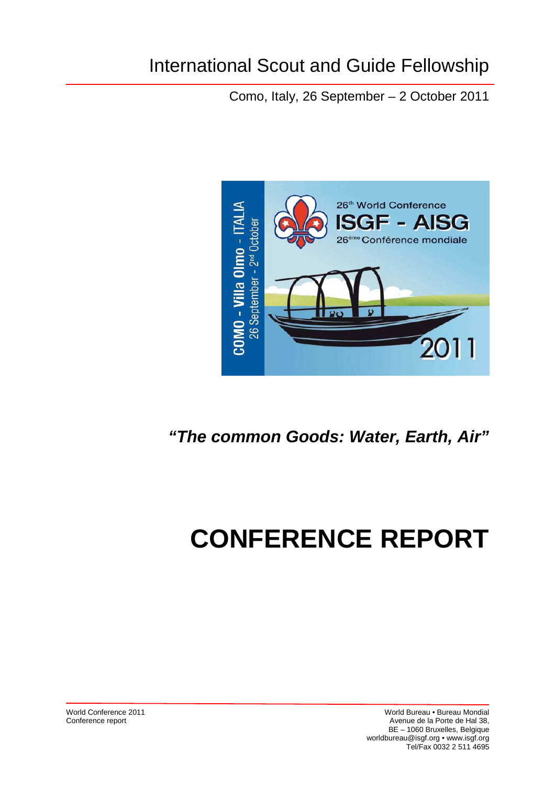Como, Italy, 26 September – 2 October 2011



**"The common Goods: Water, Earth, Air"**

# **CONFERENCE REPORT**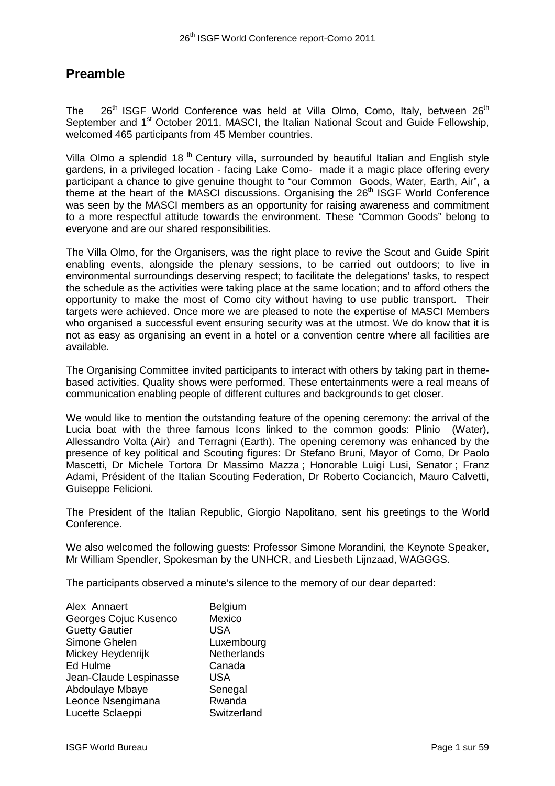# **Preamble**

The 26<sup>th</sup> ISGF World Conference was held at Villa Olmo, Como, Italy, between 26<sup>th</sup> September and 1<sup>st</sup> October 2011. MASCI, the Italian National Scout and Guide Fellowship, welcomed 465 participants from 45 Member countries.

Villa Olmo a splendid 18<sup>th</sup> Century villa, surrounded by beautiful Italian and English style gardens, in a privileged location - facing Lake Como- made it a magic place offering every participant a chance to give genuine thought to "our Common Goods, Water, Earth, Air", a theme at the heart of the MASCI discussions. Organising the  $26<sup>th</sup>$  ISGF World Conference was seen by the MASCI members as an opportunity for raising awareness and commitment to a more respectful attitude towards the environment. These "Common Goods" belong to everyone and are our shared responsibilities.

The Villa Olmo, for the Organisers, was the right place to revive the Scout and Guide Spirit enabling events, alongside the plenary sessions, to be carried out outdoors; to live in environmental surroundings deserving respect; to facilitate the delegations' tasks, to respect the schedule as the activities were taking place at the same location; and to afford others the opportunity to make the most of Como city without having to use public transport. Their targets were achieved. Once more we are pleased to note the expertise of MASCI Members who organised a successful event ensuring security was at the utmost. We do know that it is not as easy as organising an event in a hotel or a convention centre where all facilities are available.

The Organising Committee invited participants to interact with others by taking part in themebased activities. Quality shows were performed. These entertainments were a real means of communication enabling people of different cultures and backgrounds to get closer.

We would like to mention the outstanding feature of the opening ceremony: the arrival of the Lucia boat with the three famous Icons linked to the common goods: Plinio (Water), Allessandro Volta (Air) and Terragni (Earth). The opening ceremony was enhanced by the presence of key political and Scouting figures: Dr Stefano Bruni, Mayor of Como, Dr Paolo Mascetti, Dr Michele Tortora Dr Massimo Mazza ; Honorable Luigi Lusi, Senator ; Franz Adami, Président of the Italian Scouting Federation, Dr Roberto Cociancich, Mauro Calvetti, Guiseppe Felicioni.

The President of the Italian Republic, Giorgio Napolitano, sent his greetings to the World Conference.

We also welcomed the following quests: Professor Simone Morandini, the Keynote Speaker, Mr William Spendler, Spokesman by the UNHCR, and Liesbeth Lijnzaad, WAGGGS.

The participants observed a minute's silence to the memory of our dear departed:

| Georges Cojuc Kusenco  | Mexico             |
|------------------------|--------------------|
| <b>Guetty Gautier</b>  | USA                |
| Simone Ghelen          | Luxembourg         |
| Mickey Heydenrijk      | <b>Netherlands</b> |
| Ed Hulme               | Canada             |
| Jean-Claude Lespinasse | <b>USA</b>         |
| Abdoulaye Mbaye        | Senegal            |
| Leonce Nsengimana      | Rwanda             |
| Lucette Sclaeppi       | Switzerland        |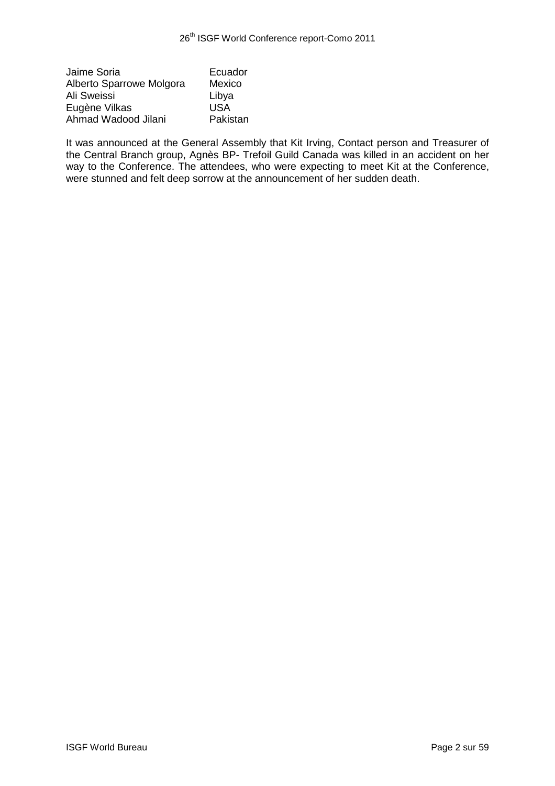| Jaime Soria              | Ecuador  |
|--------------------------|----------|
| Alberto Sparrowe Molgora | Mexico   |
| Ali Sweissi              | Libya    |
| Eugène Vilkas            | USA      |
| Ahmad Wadood Jilani      | Pakistan |

It was announced at the General Assembly that Kit Irving, Contact person and Treasurer of the Central Branch group, Agnès BP- Trefoil Guild Canada was killed in an accident on her way to the Conference. The attendees, who were expecting to meet Kit at the Conference, were stunned and felt deep sorrow at the announcement of her sudden death.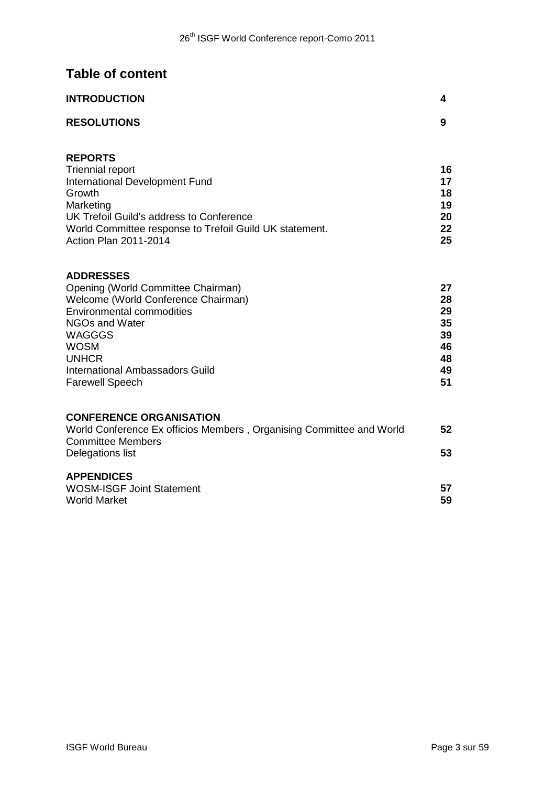# **Table of content**

| <b>INTRODUCTION</b>                                                                                                                                                                                                                                                     | 4                                                  |
|-------------------------------------------------------------------------------------------------------------------------------------------------------------------------------------------------------------------------------------------------------------------------|----------------------------------------------------|
| <b>RESOLUTIONS</b>                                                                                                                                                                                                                                                      | 9                                                  |
|                                                                                                                                                                                                                                                                         |                                                    |
| <b>REPORTS</b><br><b>Triennial report</b><br>International Development Fund<br>Growth<br>Marketing<br>UK Trefoil Guild's address to Conference<br>World Committee response to Trefoil Guild UK statement.<br><b>Action Plan 2011-2014</b>                               | 16<br>17<br>18<br>19<br>20<br>22<br>25             |
| <b>ADDRESSES</b><br>Opening (World Committee Chairman)<br>Welcome (World Conference Chairman)<br><b>Environmental commodities</b><br><b>NGOs and Water</b><br><b>WAGGGS</b><br><b>WOSM</b><br><b>UNHCR</b><br>International Ambassadors Guild<br><b>Farewell Speech</b> | 27<br>28<br>29<br>35<br>39<br>46<br>48<br>49<br>51 |
| <b>CONFERENCE ORGANISATION</b><br>World Conference Ex officios Members, Organising Committee and World<br><b>Committee Members</b><br>Delegations list                                                                                                                  | 52<br>53                                           |
| <b>APPENDICES</b><br><b>WOSM-ISGF Joint Statement</b><br><b>World Market</b>                                                                                                                                                                                            | 57<br>59                                           |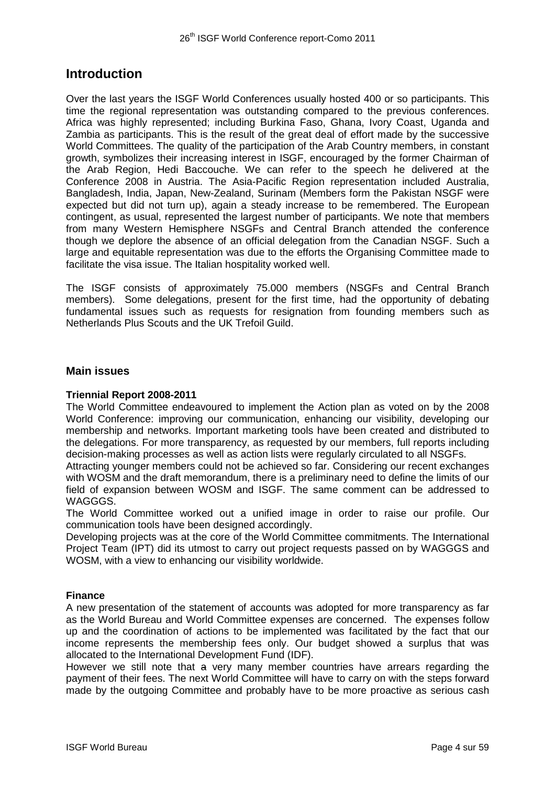# **Introduction**

Over the last years the ISGF World Conferences usually hosted 400 or so participants. This time the regional representation was outstanding compared to the previous conferences. Africa was highly represented; including Burkina Faso, Ghana, Ivory Coast, Uganda and Zambia as participants. This is the result of the great deal of effort made by the successive World Committees. The quality of the participation of the Arab Country members, in constant growth, symbolizes their increasing interest in ISGF, encouraged by the former Chairman of the Arab Region, Hedi Baccouche. We can refer to the speech he delivered at the Conference 2008 in Austria. The Asia-Pacific Region representation included Australia, Bangladesh, India, Japan, New-Zealand, Surinam (Members form the Pakistan NSGF were expected but did not turn up), again a steady increase to be remembered. The European contingent, as usual, represented the largest number of participants. We note that members from many Western Hemisphere NSGFs and Central Branch attended the conference though we deplore the absence of an official delegation from the Canadian NSGF. Such a large and equitable representation was due to the efforts the Organising Committee made to facilitate the visa issue. The Italian hospitality worked well.

The ISGF consists of approximately 75.000 members (NSGFs and Central Branch members). Some delegations, present for the first time, had the opportunity of debating fundamental issues such as requests for resignation from founding members such as Netherlands Plus Scouts and the UK Trefoil Guild.

# **Main issues**

# **Triennial Report 2008-2011**

The World Committee endeavoured to implement the Action plan as voted on by the 2008 World Conference: improving our communication, enhancing our visibility, developing our membership and networks. Important marketing tools have been created and distributed to the delegations. For more transparency, as requested by our members, full reports including decision-making processes as well as action lists were regularly circulated to all NSGFs.

Attracting younger members could not be achieved so far. Considering our recent exchanges with WOSM and the draft memorandum, there is a preliminary need to define the limits of our field of expansion between WOSM and ISGF. The same comment can be addressed to **WAGGGS** 

The World Committee worked out a unified image in order to raise our profile. Our communication tools have been designed accordingly.

Developing projects was at the core of the World Committee commitments. The International Project Team (IPT) did its utmost to carry out project requests passed on by WAGGGS and WOSM, with a view to enhancing our visibility worldwide.

# **Finance**

A new presentation of the statement of accounts was adopted for more transparency as far as the World Bureau and World Committee expenses are concerned. The expenses follow up and the coordination of actions to be implemented was facilitated by the fact that our income represents the membership fees only. Our budget showed a surplus that was allocated to the International Development Fund (IDF).

However we still note that a very many member countries have arrears regarding the payment of their fees. The next World Committee will have to carry on with the steps forward made by the outgoing Committee and probably have to be more proactive as serious cash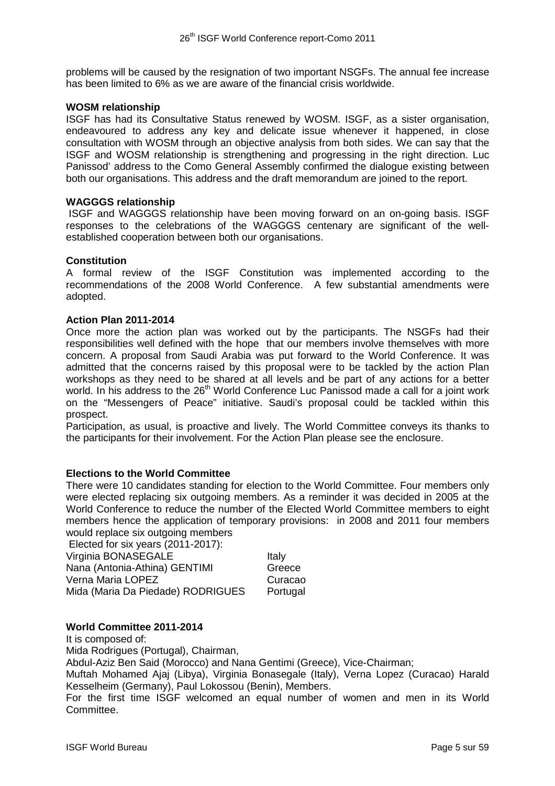problems will be caused by the resignation of two important NSGFs. The annual fee increase has been limited to 6% as we are aware of the financial crisis worldwide.

# **WOSM relationship**

ISGF has had its Consultative Status renewed by WOSM. ISGF, as a sister organisation, endeavoured to address any key and delicate issue whenever it happened, in close consultation with WOSM through an objective analysis from both sides. We can say that the ISGF and WOSM relationship is strengthening and progressing in the right direction. Luc Panissod' address to the Como General Assembly confirmed the dialogue existing between both our organisations. This address and the draft memorandum are joined to the report.

#### **WAGGGS relationship**

 ISGF and WAGGGS relationship have been moving forward on an on-going basis. ISGF responses to the celebrations of the WAGGGS centenary are significant of the wellestablished cooperation between both our organisations.

# **Constitution**

A formal review of the ISGF Constitution was implemented according to the recommendations of the 2008 World Conference. A few substantial amendments were adopted.

# **Action Plan 2011-2014**

Once more the action plan was worked out by the participants. The NSGFs had their responsibilities well defined with the hope that our members involve themselves with more concern. A proposal from Saudi Arabia was put forward to the World Conference. It was admitted that the concerns raised by this proposal were to be tackled by the action Plan workshops as they need to be shared at all levels and be part of any actions for a better world. In his address to the 26<sup>th</sup> World Conference Luc Panissod made a call for a joint work on the "Messengers of Peace" initiative. Saudi's proposal could be tackled within this prospect.

Participation, as usual, is proactive and lively. The World Committee conveys its thanks to the participants for their involvement. For the Action Plan please see the enclosure.

#### **Elections to the World Committee**

There were 10 candidates standing for election to the World Committee. Four members only were elected replacing six outgoing members. As a reminder it was decided in 2005 at the World Conference to reduce the number of the Elected World Committee members to eight members hence the application of temporary provisions: in 2008 and 2011 four members would replace six outgoing members

 Elected for six years (2011-2017): Virginia BONASEGALE Italy Nana (Antonia-Athina) GENTIMI Greece Verna Maria LOPEZ Curacao Mida (Maria Da Piedade) RODRIGUES Portugal

# **World Committee 2011-2014**

It is composed of:

Mida Rodrigues (Portugal), Chairman,

Abdul-Aziz Ben Said (Morocco) and Nana Gentimi (Greece), Vice-Chairman;

Muftah Mohamed Ajaj (Libya), Virginia Bonasegale (Italy), Verna Lopez (Curacao) Harald Kesselheim (Germany), Paul Lokossou (Benin), Members.

For the first time ISGF welcomed an equal number of women and men in its World Committee.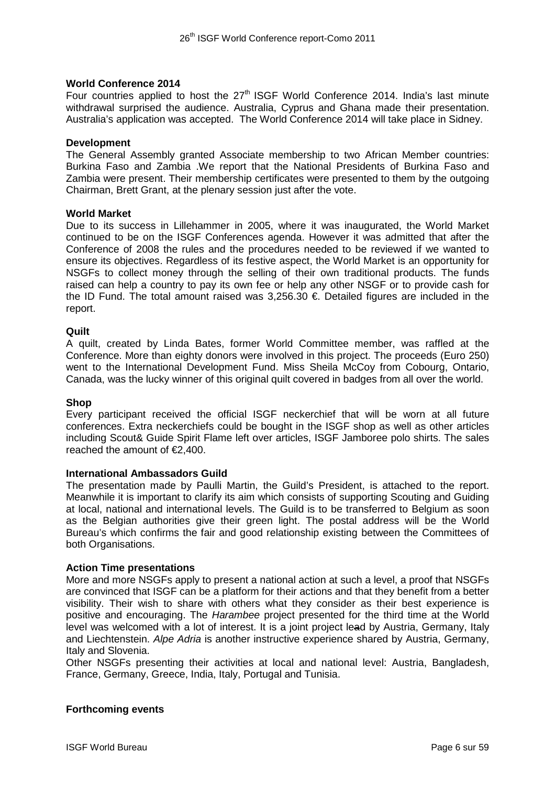# **World Conference 2014**

Four countries applied to host the  $27<sup>th</sup>$  ISGF World Conference 2014. India's last minute withdrawal surprised the audience. Australia, Cyprus and Ghana made their presentation. Australia's application was accepted. The World Conference 2014 will take place in Sidney.

## **Development**

The General Assembly granted Associate membership to two African Member countries: Burkina Faso and Zambia .We report that the National Presidents of Burkina Faso and Zambia were present. Their membership certificates were presented to them by the outgoing Chairman, Brett Grant, at the plenary session just after the vote.

#### **World Market**

Due to its success in Lillehammer in 2005, where it was inaugurated, the World Market continued to be on the ISGF Conferences agenda. However it was admitted that after the Conference of 2008 the rules and the procedures needed to be reviewed if we wanted to ensure its objectives. Regardless of its festive aspect, the World Market is an opportunity for NSGFs to collect money through the selling of their own traditional products. The funds raised can help a country to pay its own fee or help any other NSGF or to provide cash for the ID Fund. The total amount raised was 3,256.30 €. Detailed figures are included in the report.

#### **Quilt**

A quilt, created by Linda Bates, former World Committee member, was raffled at the Conference. More than eighty donors were involved in this project. The proceeds (Euro 250) went to the International Development Fund. Miss Sheila McCoy from Cobourg, Ontario, Canada, was the lucky winner of this original quilt covered in badges from all over the world.

#### **Shop**

Every participant received the official ISGF neckerchief that will be worn at all future conferences. Extra neckerchiefs could be bought in the ISGF shop as well as other articles including Scout& Guide Spirit Flame left over articles, ISGF Jamboree polo shirts. The sales reached the amount of €2,400.

# **International Ambassadors Guild**

The presentation made by Paulli Martin, the Guild's President, is attached to the report. Meanwhile it is important to clarify its aim which consists of supporting Scouting and Guiding at local, national and international levels. The Guild is to be transferred to Belgium as soon as the Belgian authorities give their green light. The postal address will be the World Bureau's which confirms the fair and good relationship existing between the Committees of both Organisations.

#### **Action Time presentations**

More and more NSGFs apply to present a national action at such a level, a proof that NSGFs are convinced that ISGF can be a platform for their actions and that they benefit from a better visibility. Their wish to share with others what they consider as their best experience is positive and encouraging. The Harambee project presented for the third time at the World level was welcomed with a lot of interest. It is a joint project lead by Austria, Germany, Italy and Liechtenstein. Alpe Adria is another instructive experience shared by Austria, Germany, Italy and Slovenia.

Other NSGFs presenting their activities at local and national level: Austria, Bangladesh, France, Germany, Greece, India, Italy, Portugal and Tunisia.

#### **Forthcoming events**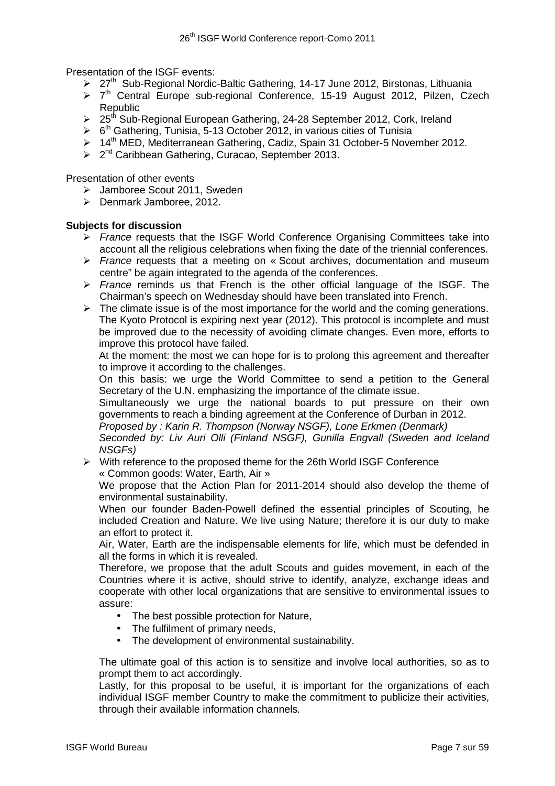Presentation of the ISGF events:

- $> 27<sup>th</sup>$  Sub-Regional Nordic-Baltic Gathering, 14-17 June 2012, Birstonas, Lithuania
- $\triangleright$  7<sup>th</sup> Central Europe sub-regional Conference, 15-19 August 2012, Pilzen, Czech Republic
- ▶ 25<sup>th</sup> Sub-Regional European Gathering, 24-28 September 2012, Cork, Ireland
- $6<sup>th</sup>$  Gathering, Tunisia, 5-13 October 2012, in various cities of Tunisia
- > 14<sup>th</sup> MED, Mediterranean Gathering, Cadiz, Spain 31 October-5 November 2012.
- $\geq 2^{nd}$  Caribbean Gathering, Curacao, September 2013.

Presentation of other events

- Jamboree Scout 2011, Sweden
- $\triangleright$  Denmark Jamboree, 2012.

# **Subjects for discussion**

- $\triangleright$  France requests that the ISGF World Conference Organising Committees take into account all the religious celebrations when fixing the date of the triennial conferences.
- France requests that a meeting on « Scout archives, documentation and museum centre" be again integrated to the agenda of the conferences.
- $\triangleright$  France reminds us that French is the other official language of the ISGF. The Chairman's speech on Wednesday should have been translated into French.
- $\triangleright$  The climate issue is of the most importance for the world and the coming generations. The Kyoto Protocol is expiring next year (2012). This protocol is incomplete and must be improved due to the necessity of avoiding climate changes. Even more, efforts to improve this protocol have failed.

At the moment: the most we can hope for is to prolong this agreement and thereafter to improve it according to the challenges.

On this basis: we urge the World Committee to send a petition to the General Secretary of the U.N. emphasizing the importance of the climate issue.

Simultaneously we urge the national boards to put pressure on their own governments to reach a binding agreement at the Conference of Durban in 2012.

Proposed by : Karin R. Thompson (Norway NSGF), Lone Erkmen (Denmark)

Seconded by: Liv Auri Olli (Finland NSGF), Gunilla Engvall (Sweden and Iceland NSGFs)

 $\triangleright$  With reference to the proposed theme for the 26th World ISGF Conference « Common goods: Water, Earth, Air »

We propose that the Action Plan for 2011-2014 should also develop the theme of environmental sustainability.

When our founder Baden-Powell defined the essential principles of Scouting, he included Creation and Nature. We live using Nature; therefore it is our duty to make an effort to protect it.

Air, Water, Earth are the indispensable elements for life, which must be defended in all the forms in which it is revealed.

Therefore, we propose that the adult Scouts and guides movement, in each of the Countries where it is active, should strive to identify, analyze, exchange ideas and cooperate with other local organizations that are sensitive to environmental issues to assure:

- The best possible protection for Nature,
- The fulfilment of primary needs,
- The development of environmental sustainability.

The ultimate goal of this action is to sensitize and involve local authorities, so as to prompt them to act accordingly.

Lastly, for this proposal to be useful, it is important for the organizations of each individual ISGF member Country to make the commitment to publicize their activities, through their available information channels.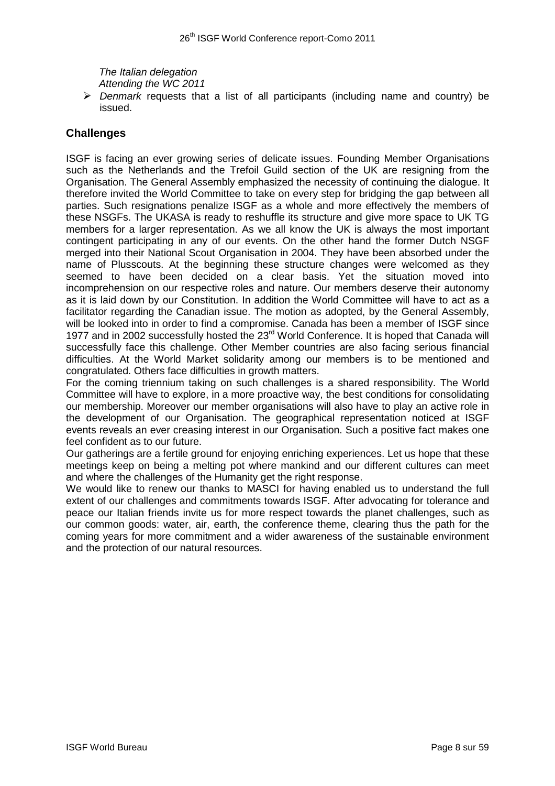The Italian delegation Attending the WC 2011

 $\triangleright$  Denmark requests that a list of all participants (including name and country) be issued.

# **Challenges**

ISGF is facing an ever growing series of delicate issues. Founding Member Organisations such as the Netherlands and the Trefoil Guild section of the UK are resigning from the Organisation. The General Assembly emphasized the necessity of continuing the dialogue. It therefore invited the World Committee to take on every step for bridging the gap between all parties. Such resignations penalize ISGF as a whole and more effectively the members of these NSGFs. The UKASA is ready to reshuffle its structure and give more space to UK TG members for a larger representation. As we all know the UK is always the most important contingent participating in any of our events. On the other hand the former Dutch NSGF merged into their National Scout Organisation in 2004. They have been absorbed under the name of Plusscouts. At the beginning these structure changes were welcomed as they seemed to have been decided on a clear basis. Yet the situation moved into incomprehension on our respective roles and nature. Our members deserve their autonomy as it is laid down by our Constitution. In addition the World Committee will have to act as a facilitator regarding the Canadian issue. The motion as adopted, by the General Assembly, will be looked into in order to find a compromise. Canada has been a member of ISGF since 1977 and in 2002 successfully hosted the 23<sup>rd</sup> World Conference. It is hoped that Canada will successfully face this challenge. Other Member countries are also facing serious financial difficulties. At the World Market solidarity among our members is to be mentioned and congratulated. Others face difficulties in growth matters.

For the coming triennium taking on such challenges is a shared responsibility. The World Committee will have to explore, in a more proactive way, the best conditions for consolidating our membership. Moreover our member organisations will also have to play an active role in the development of our Organisation. The geographical representation noticed at ISGF events reveals an ever creasing interest in our Organisation. Such a positive fact makes one feel confident as to our future.

Our gatherings are a fertile ground for enjoying enriching experiences. Let us hope that these meetings keep on being a melting pot where mankind and our different cultures can meet and where the challenges of the Humanity get the right response.

We would like to renew our thanks to MASCI for having enabled us to understand the full extent of our challenges and commitments towards ISGF. After advocating for tolerance and peace our Italian friends invite us for more respect towards the planet challenges, such as our common goods: water, air, earth, the conference theme, clearing thus the path for the coming years for more commitment and a wider awareness of the sustainable environment and the protection of our natural resources.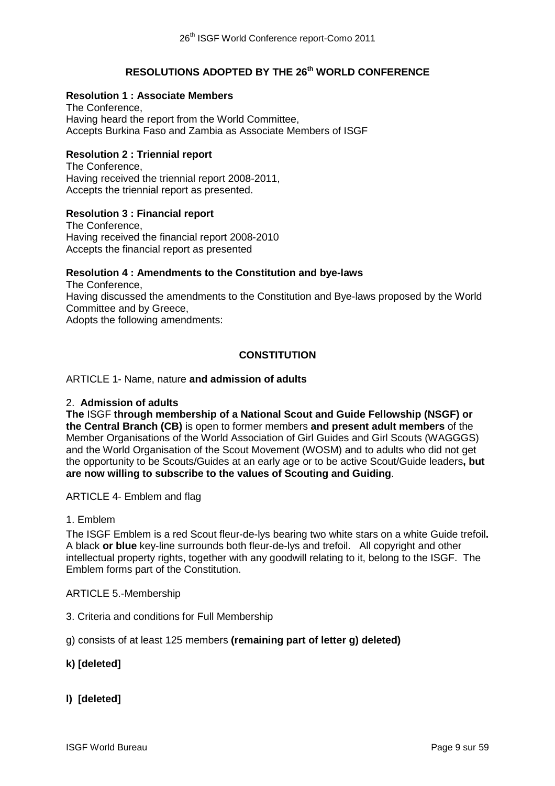# **RESOLUTIONS ADOPTED BY THE 26th WORLD CONFERENCE**

# **Resolution 1 : Associate Members**

The Conference, Having heard the report from the World Committee, Accepts Burkina Faso and Zambia as Associate Members of ISGF

# **Resolution 2 : Triennial report**

The Conference, Having received the triennial report 2008-2011, Accepts the triennial report as presented.

#### **Resolution 3 : Financial report**

The Conference, Having received the financial report 2008-2010 Accepts the financial report as presented

#### **Resolution 4 : Amendments to the Constitution and bye-laws**

The Conference, Having discussed the amendments to the Constitution and Bye-laws proposed by the World Committee and by Greece, Adopts the following amendments:

# **CONSTITUTION**

#### ARTICLE 1- Name, nature **and admission of adults**

#### 2. **Admission of adults**

**The** ISGF **through membership of a National Scout and Guide Fellowship (NSGF) or the Central Branch (CB)** is open to former members **and present adult members** of the Member Organisations of the World Association of Girl Guides and Girl Scouts (WAGGGS) and the World Organisation of the Scout Movement (WOSM) and to adults who did not get the opportunity to be Scouts/Guides at an early age or to be active Scout/Guide leaders**, but are now willing to subscribe to the values of Scouting and Guiding**.

ARTICLE 4- Emblem and flag

1. Emblem

The ISGF Emblem is a red Scout fleur-de-lys bearing two white stars on a white Guide trefoil**.** A black **or blue** key-line surrounds both fleur-de-lys and trefoil. All copyright and other intellectual property rights, together with any goodwill relating to it, belong to the ISGF. The Emblem forms part of the Constitution.

ARTICLE 5.-Membership

3. Criteria and conditions for Full Membership

g) consists of at least 125 members **(remaining part of letter g) deleted)** 

#### **k) [deleted]**

**l) [deleted]**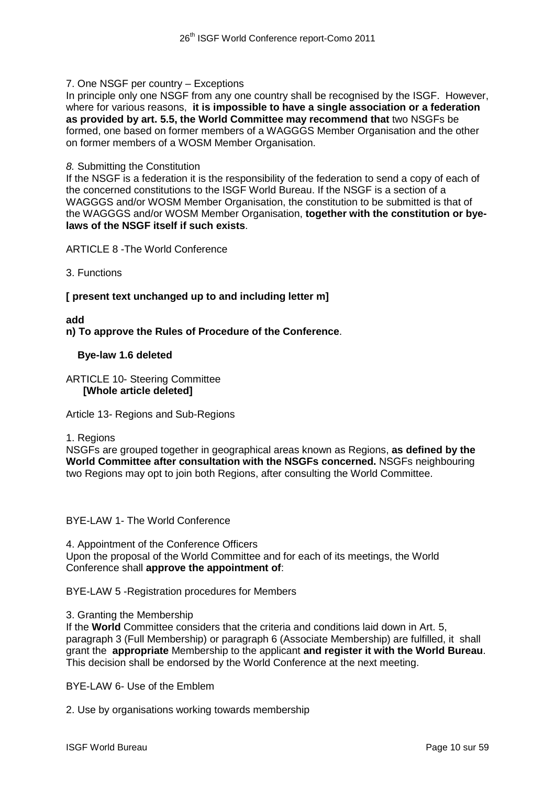# 7. One NSGF per country – Exceptions

In principle only one NSGF from any one country shall be recognised by the ISGF. However, where for various reasons, **it is impossible to have a single association or a federation as provided by art. 5.5, the World Committee may recommend that** two NSGFs be formed, one based on former members of a WAGGGS Member Organisation and the other on former members of a WOSM Member Organisation.

## 8. Submitting the Constitution

If the NSGF is a federation it is the responsibility of the federation to send a copy of each of the concerned constitutions to the ISGF World Bureau. If the NSGF is a section of a WAGGGS and/or WOSM Member Organisation, the constitution to be submitted is that of the WAGGGS and/or WOSM Member Organisation, **together with the constitution or byelaws of the NSGF itself if such exists**.

ARTICLE 8 -The World Conference

3. Functions

# **[ present text unchanged up to and including letter m]**

#### **add n) To approve the Rules of Procedure of the Conference**.

# **Bye-law 1.6 deleted**

#### ARTICLE 10- Steering Committee  **[Whole article deleted]**

Article 13- Regions and Sub-Regions

#### 1. Regions

NSGFs are grouped together in geographical areas known as Regions, **as defined by the World Committee after consultation with the NSGFs concerned.** NSGFs neighbouring two Regions may opt to join both Regions, after consulting the World Committee.

#### BYE-LAW 1- The World Conference

4. Appointment of the Conference Officers

Upon the proposal of the World Committee and for each of its meetings, the World Conference shall **approve the appointment of**:

BYE-LAW 5 -Registration procedures for Members

#### 3. Granting the Membership

If the **World** Committee considers that the criteria and conditions laid down in Art. 5, paragraph 3 (Full Membership) or paragraph 6 (Associate Membership) are fulfilled, it shall grant the **appropriate** Membership to the applicant **and register it with the World Bureau**. This decision shall be endorsed by the World Conference at the next meeting.

BYE-LAW 6- Use of the Emblem

2. Use by organisations working towards membership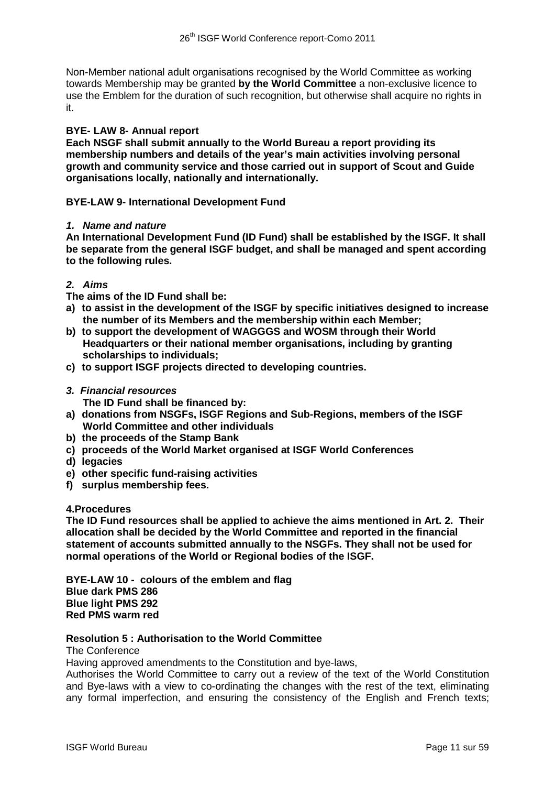Non-Member national adult organisations recognised by the World Committee as working towards Membership may be granted **by the World Committee** a non-exclusive licence to use the Emblem for the duration of such recognition, but otherwise shall acquire no rights in it.

# **BYE- LAW 8- Annual report**

**Each NSGF shall submit annually to the World Bureau a report providing its membership numbers and details of the year's main activities involving personal growth and community service and those carried out in support of Scout and Guide organisations locally, nationally and internationally.** 

**BYE-LAW 9- International Development Fund** 

#### **1. Name and nature**

**An International Development Fund (ID Fund) shall be established by the ISGF. It shall be separate from the general ISGF budget, and shall be managed and spent according to the following rules.** 

# **2. Aims**

**The aims of the ID Fund shall be:** 

- **a) to assist in the development of the ISGF by specific initiatives designed to increase the number of its Members and the membership within each Member;**
- **b) to support the development of WAGGGS and WOSM through their World Headquarters or their national member organisations, including by granting scholarships to individuals;**
- **c) to support ISGF projects directed to developing countries.**
- **3. Financial resources** 
	- **The ID Fund shall be financed by:**
- **a) donations from NSGFs, ISGF Regions and Sub-Regions, members of the ISGF World Committee and other individuals**
- **b) the proceeds of the Stamp Bank**
- **c) proceeds of the World Market organised at ISGF World Conferences**
- **d) legacies**
- **e) other specific fund-raising activities**
- **f) surplus membership fees.**

# **4.Procedures**

**The ID Fund resources shall be applied to achieve the aims mentioned in Art. 2. Their allocation shall be decided by the World Committee and reported in the financial statement of accounts submitted annually to the NSGFs. They shall not be used for normal operations of the World or Regional bodies of the ISGF.** 

**BYE-LAW 10 - colours of the emblem and flag Blue dark PMS 286 Blue light PMS 292 Red PMS warm red** 

# **Resolution 5 : Authorisation to the World Committee**

The Conference

Having approved amendments to the Constitution and bye-laws,

Authorises the World Committee to carry out a review of the text of the World Constitution and Bye-laws with a view to co-ordinating the changes with the rest of the text, eliminating any formal imperfection, and ensuring the consistency of the English and French texts;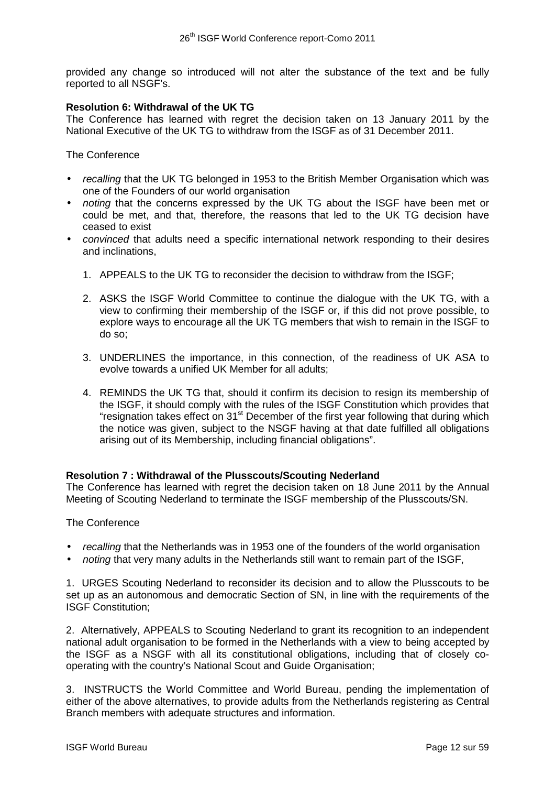provided any change so introduced will not alter the substance of the text and be fully reported to all NSGF's.

## **Resolution 6: Withdrawal of the UK TG**

The Conference has learned with regret the decision taken on 13 January 2011 by the National Executive of the UK TG to withdraw from the ISGF as of 31 December 2011.

The Conference

- recalling that the UK TG belonged in 1953 to the British Member Organisation which was one of the Founders of our world organisation
- noting that the concerns expressed by the UK TG about the ISGF have been met or could be met, and that, therefore, the reasons that led to the UK TG decision have ceased to exist
- convinced that adults need a specific international network responding to their desires and inclinations,
	- 1. APPEALS to the UK TG to reconsider the decision to withdraw from the ISGF;
	- 2. ASKS the ISGF World Committee to continue the dialogue with the UK TG, with a view to confirming their membership of the ISGF or, if this did not prove possible, to explore ways to encourage all the UK TG members that wish to remain in the ISGF to do so;
	- 3. UNDERLINES the importance, in this connection, of the readiness of UK ASA to evolve towards a unified UK Member for all adults;
	- 4. REMINDS the UK TG that, should it confirm its decision to resign its membership of the ISGF, it should comply with the rules of the ISGF Constitution which provides that "resignation takes effect on  $31<sup>st</sup>$  December of the first year following that during which the notice was given, subject to the NSGF having at that date fulfilled all obligations arising out of its Membership, including financial obligations".

#### **Resolution 7 : Withdrawal of the Plusscouts/Scouting Nederland**

The Conference has learned with regret the decision taken on 18 June 2011 by the Annual Meeting of Scouting Nederland to terminate the ISGF membership of the Plusscouts/SN.

The Conference

- recalling that the Netherlands was in 1953 one of the founders of the world organisation
- noting that very many adults in the Netherlands still want to remain part of the ISGF,

1. URGES Scouting Nederland to reconsider its decision and to allow the Plusscouts to be set up as an autonomous and democratic Section of SN, in line with the requirements of the ISGF Constitution;

2. Alternatively, APPEALS to Scouting Nederland to grant its recognition to an independent national adult organisation to be formed in the Netherlands with a view to being accepted by the ISGF as a NSGF with all its constitutional obligations, including that of closely cooperating with the country's National Scout and Guide Organisation;

3. INSTRUCTS the World Committee and World Bureau, pending the implementation of either of the above alternatives, to provide adults from the Netherlands registering as Central Branch members with adequate structures and information.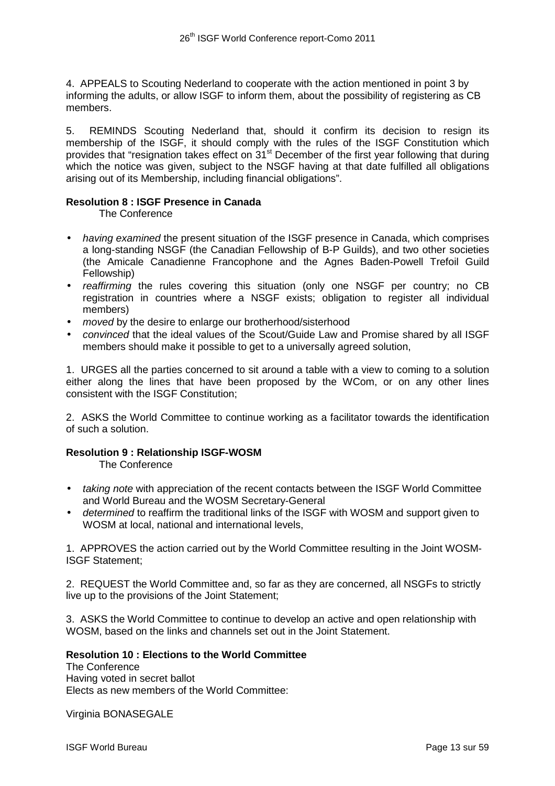4. APPEALS to Scouting Nederland to cooperate with the action mentioned in point 3 by informing the adults, or allow ISGF to inform them, about the possibility of registering as CB members.

5. REMINDS Scouting Nederland that, should it confirm its decision to resign its membership of the ISGF, it should comply with the rules of the ISGF Constitution which provides that "resignation takes effect on  $31<sup>st</sup>$  December of the first year following that during which the notice was given, subject to the NSGF having at that date fulfilled all obligations arising out of its Membership, including financial obligations".

# **Resolution 8 : ISGF Presence in Canada**

The Conference

- having examined the present situation of the ISGF presence in Canada, which comprises a long-standing NSGF (the Canadian Fellowship of B-P Guilds), and two other societies (the Amicale Canadienne Francophone and the Agnes Baden-Powell Trefoil Guild Fellowship)
- reaffirming the rules covering this situation (only one NSGF per country; no CB registration in countries where a NSGF exists; obligation to register all individual members)
- moved by the desire to enlarge our brotherhood/sisterhood
- convinced that the ideal values of the Scout/Guide Law and Promise shared by all ISGF members should make it possible to get to a universally agreed solution,

1. URGES all the parties concerned to sit around a table with a view to coming to a solution either along the lines that have been proposed by the WCom, or on any other lines consistent with the ISGF Constitution;

2. ASKS the World Committee to continue working as a facilitator towards the identification of such a solution.

# **Resolution 9 : Relationship ISGF-WOSM**

The Conference

- taking note with appreciation of the recent contacts between the ISGF World Committee and World Bureau and the WOSM Secretary-General
- determined to reaffirm the traditional links of the ISGF with WOSM and support given to WOSM at local, national and international levels,

1. APPROVES the action carried out by the World Committee resulting in the Joint WOSM-ISGF Statement;

2. REQUEST the World Committee and, so far as they are concerned, all NSGFs to strictly live up to the provisions of the Joint Statement;

3. ASKS the World Committee to continue to develop an active and open relationship with WOSM, based on the links and channels set out in the Joint Statement.

# **Resolution 10 : Elections to the World Committee**

The Conference Having voted in secret ballot Elects as new members of the World Committee:

Virginia BONASEGALE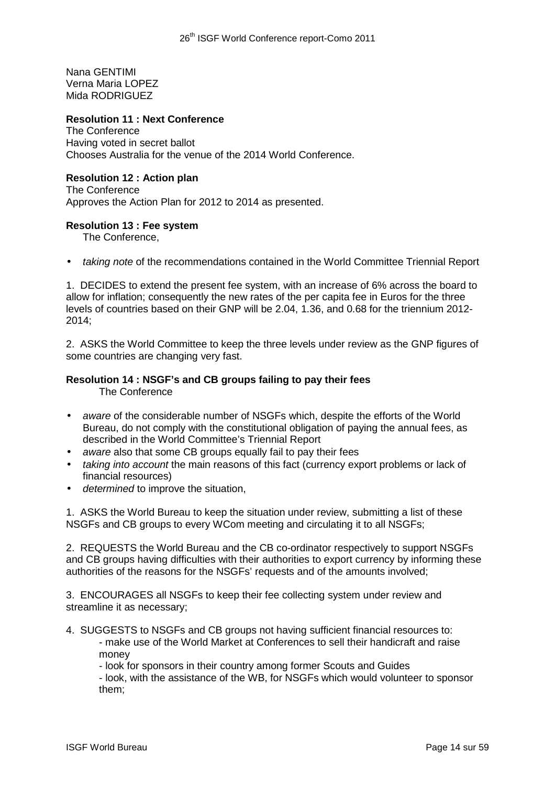Nana GENTIMI Verna Maria LOPEZ Mida RODRIGUEZ

# **Resolution 11 : Next Conference**

The Conference Having voted in secret ballot Chooses Australia for the venue of the 2014 World Conference.

# **Resolution 12 : Action plan**

The Conference Approves the Action Plan for 2012 to 2014 as presented.

#### **Resolution 13 : Fee system**

The Conference,

• taking note of the recommendations contained in the World Committee Triennial Report

1. DECIDES to extend the present fee system, with an increase of 6% across the board to allow for inflation; consequently the new rates of the per capita fee in Euros for the three levels of countries based on their GNP will be 2.04, 1.36, and 0.68 for the triennium 2012- 2014;

2. ASKS the World Committee to keep the three levels under review as the GNP figures of some countries are changing very fast.

# **Resolution 14 : NSGF's and CB groups failing to pay their fees**

The Conference

- aware of the considerable number of NSGFs which, despite the efforts of the World Bureau, do not comply with the constitutional obligation of paying the annual fees, as described in the World Committee's Triennial Report
- aware also that some CB groups equally fail to pay their fees
- taking into account the main reasons of this fact (currency export problems or lack of financial resources)
- determined to improve the situation.

1. ASKS the World Bureau to keep the situation under review, submitting a list of these NSGFs and CB groups to every WCom meeting and circulating it to all NSGFs;

2. REQUESTS the World Bureau and the CB co-ordinator respectively to support NSGFs and CB groups having difficulties with their authorities to export currency by informing these authorities of the reasons for the NSGFs' requests and of the amounts involved;

3. ENCOURAGES all NSGFs to keep their fee collecting system under review and streamline it as necessary;

- 4. SUGGESTS to NSGFs and CB groups not having sufficient financial resources to:
	- make use of the World Market at Conferences to sell their handicraft and raise money
	- look for sponsors in their country among former Scouts and Guides

- look, with the assistance of the WB, for NSGFs which would volunteer to sponsor them;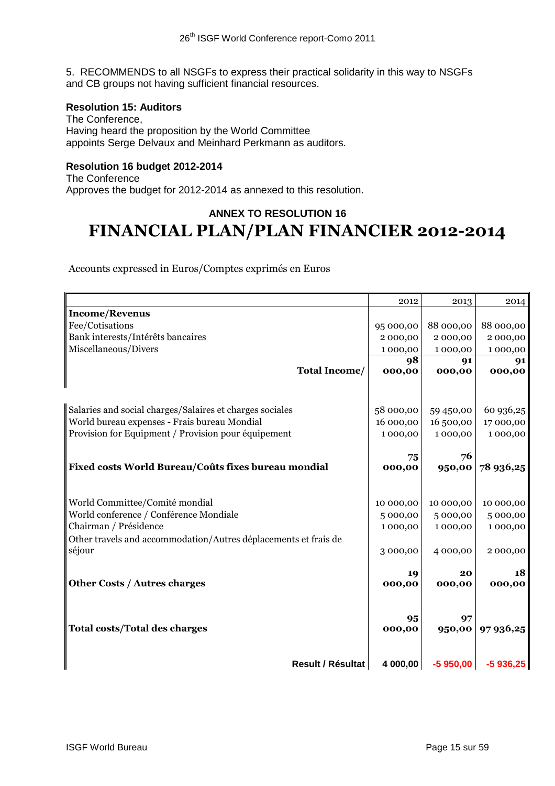5. RECOMMENDS to all NSGFs to express their practical solidarity in this way to NSGFs and CB groups not having sufficient financial resources.

# **Resolution 15: Auditors**

The Conference, Having heard the proposition by the World Committee appoints Serge Delvaux and Meinhard Perkmann as auditors.

# **Resolution 16 budget 2012-2014**

The Conference Approves the budget for 2012-2014 as annexed to this resolution.

# **ANNEX TO RESOLUTION 16 FINANCIAL PLAN/PLAN FINANCIER 2012-2014**

Accounts expressed in Euros/Comptes exprimés en Euros

|                                                                 | 2012      | 2013       | 2014       |
|-----------------------------------------------------------------|-----------|------------|------------|
| <b>Income/Revenus</b>                                           |           |            |            |
| Fee/Cotisations                                                 | 95 000,00 | 88 000,00  | 88 000,00  |
| Bank interests/Intérêts bancaires                               | 2000,00   | 2000,00    | 2 000,00   |
| Miscellaneous/Divers                                            | 1000,00   | 1000,00    | 1000,00    |
|                                                                 | 98        | 91         | 91         |
| <b>Total Income/</b>                                            | 000,00    | 000,00     | 000,00     |
|                                                                 |           |            |            |
|                                                                 |           |            |            |
| Salaries and social charges/Salaires et charges sociales        | 58 000,00 | 59 450,00  | 60 936,25  |
| World bureau expenses - Frais bureau Mondial                    | 16 000,00 | 16 500,00  | 17 000,00  |
| Provision for Equipment / Provision pour équipement             | 1000,00   | 1000,00    | 1000,00    |
|                                                                 |           |            |            |
|                                                                 | 75        | 76         |            |
| Fixed costs World Bureau/Coûts fixes bureau mondial             | 000,00    | 950,00     | 78 936,25  |
|                                                                 |           |            |            |
|                                                                 |           |            |            |
| World Committee/Comité mondial                                  | 10 000,00 | 10 000,00  | 10 000,00  |
| World conference / Conférence Mondiale                          | 5000,00   | 5000,00    | 5 000,00   |
| Chairman / Présidence                                           | 1000,00   | 1000,00    | 1000,00    |
| Other travels and accommodation/Autres déplacements et frais de |           |            |            |
| séjour                                                          | 3 000,00  | 4 000,00   | 2000,00    |
|                                                                 |           |            |            |
|                                                                 | 19        | 20         | 18         |
| <b>Other Costs / Autres charges</b>                             | 000,00    | 000,00     | 000,00     |
|                                                                 |           |            |            |
|                                                                 | 95        | 97         |            |
| <b>Total costs/Total des charges</b>                            | 000,00    | 950,00     | 97 936,25  |
|                                                                 |           |            |            |
|                                                                 |           |            |            |
| Result / Résultat                                               | 4 000,00  | $-5950,00$ | $-5936,25$ |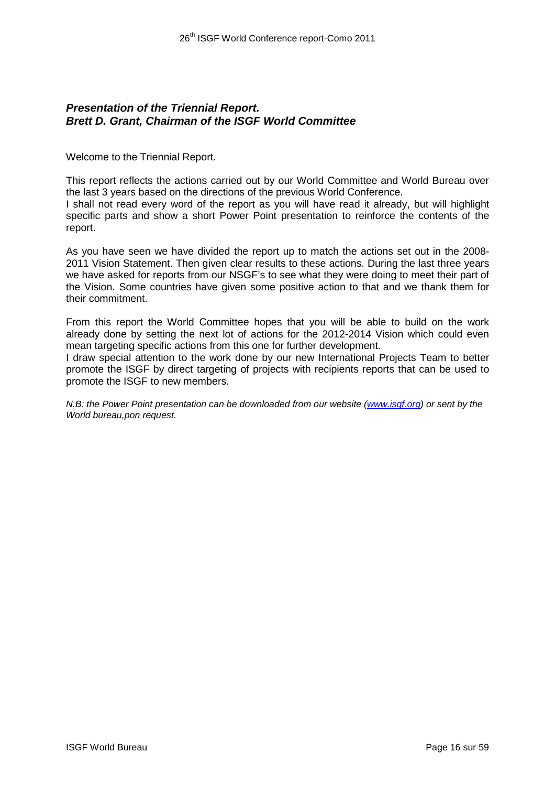# **Presentation of the Triennial Report. Brett D. Grant, Chairman of the ISGF World Committee**

Welcome to the Triennial Report.

This report reflects the actions carried out by our World Committee and World Bureau over the last 3 years based on the directions of the previous World Conference.

I shall not read every word of the report as you will have read it already, but will highlight specific parts and show a short Power Point presentation to reinforce the contents of the report.

As you have seen we have divided the report up to match the actions set out in the 2008- 2011 Vision Statement. Then given clear results to these actions. During the last three years we have asked for reports from our NSGF's to see what they were doing to meet their part of the Vision. Some countries have given some positive action to that and we thank them for their commitment.

From this report the World Committee hopes that you will be able to build on the work already done by setting the next lot of actions for the 2012-2014 Vision which could even mean targeting specific actions from this one for further development.

I draw special attention to the work done by our new International Projects Team to better promote the ISGF by direct targeting of projects with recipients reports that can be used to promote the ISGF to new members.

N.B: the Power Point presentation can be downloaded from our website (www.isgf.org) or sent by the World bureau, pon request.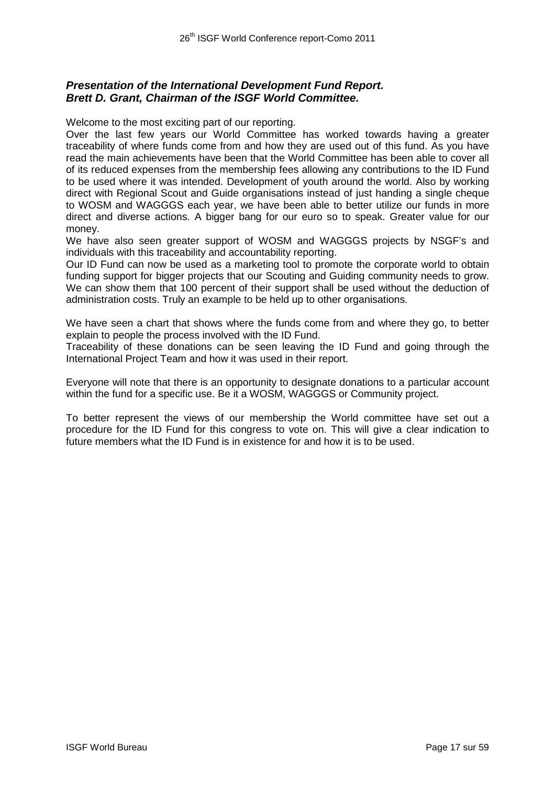# **Presentation of the International Development Fund Report. Brett D. Grant, Chairman of the ISGF World Committee.**

Welcome to the most exciting part of our reporting.

Over the last few years our World Committee has worked towards having a greater traceability of where funds come from and how they are used out of this fund. As you have read the main achievements have been that the World Committee has been able to cover all of its reduced expenses from the membership fees allowing any contributions to the ID Fund to be used where it was intended. Development of youth around the world. Also by working direct with Regional Scout and Guide organisations instead of just handing a single cheque to WOSM and WAGGGS each year, we have been able to better utilize our funds in more direct and diverse actions. A bigger bang for our euro so to speak. Greater value for our money.

We have also seen greater support of WOSM and WAGGGS projects by NSGF's and individuals with this traceability and accountability reporting.

Our ID Fund can now be used as a marketing tool to promote the corporate world to obtain funding support for bigger projects that our Scouting and Guiding community needs to grow. We can show them that 100 percent of their support shall be used without the deduction of administration costs. Truly an example to be held up to other organisations.

We have seen a chart that shows where the funds come from and where they go, to better explain to people the process involved with the ID Fund.

Traceability of these donations can be seen leaving the ID Fund and going through the International Project Team and how it was used in their report.

Everyone will note that there is an opportunity to designate donations to a particular account within the fund for a specific use. Be it a WOSM, WAGGGS or Community project.

To better represent the views of our membership the World committee have set out a procedure for the ID Fund for this congress to vote on. This will give a clear indication to future members what the ID Fund is in existence for and how it is to be used.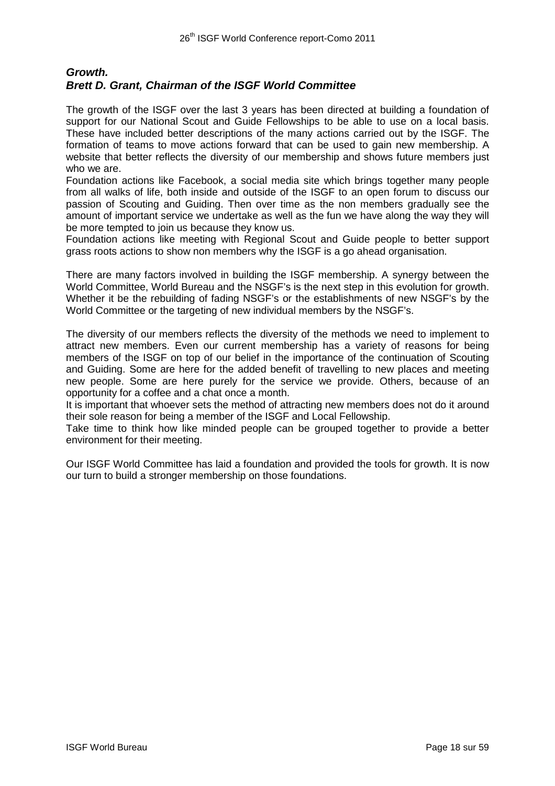# **Growth. Brett D. Grant, Chairman of the ISGF World Committee**

The growth of the ISGF over the last 3 years has been directed at building a foundation of support for our National Scout and Guide Fellowships to be able to use on a local basis. These have included better descriptions of the many actions carried out by the ISGF. The formation of teams to move actions forward that can be used to gain new membership. A website that better reflects the diversity of our membership and shows future members just who we are.

Foundation actions like Facebook, a social media site which brings together many people from all walks of life, both inside and outside of the ISGF to an open forum to discuss our passion of Scouting and Guiding. Then over time as the non members gradually see the amount of important service we undertake as well as the fun we have along the way they will be more tempted to join us because they know us.

Foundation actions like meeting with Regional Scout and Guide people to better support grass roots actions to show non members why the ISGF is a go ahead organisation.

There are many factors involved in building the ISGF membership. A synergy between the World Committee, World Bureau and the NSGF's is the next step in this evolution for growth. Whether it be the rebuilding of fading NSGF's or the establishments of new NSGF's by the World Committee or the targeting of new individual members by the NSGF's.

The diversity of our members reflects the diversity of the methods we need to implement to attract new members. Even our current membership has a variety of reasons for being members of the ISGF on top of our belief in the importance of the continuation of Scouting and Guiding. Some are here for the added benefit of travelling to new places and meeting new people. Some are here purely for the service we provide. Others, because of an opportunity for a coffee and a chat once a month.

It is important that whoever sets the method of attracting new members does not do it around their sole reason for being a member of the ISGF and Local Fellowship.

Take time to think how like minded people can be grouped together to provide a better environment for their meeting.

Our ISGF World Committee has laid a foundation and provided the tools for growth. It is now our turn to build a stronger membership on those foundations.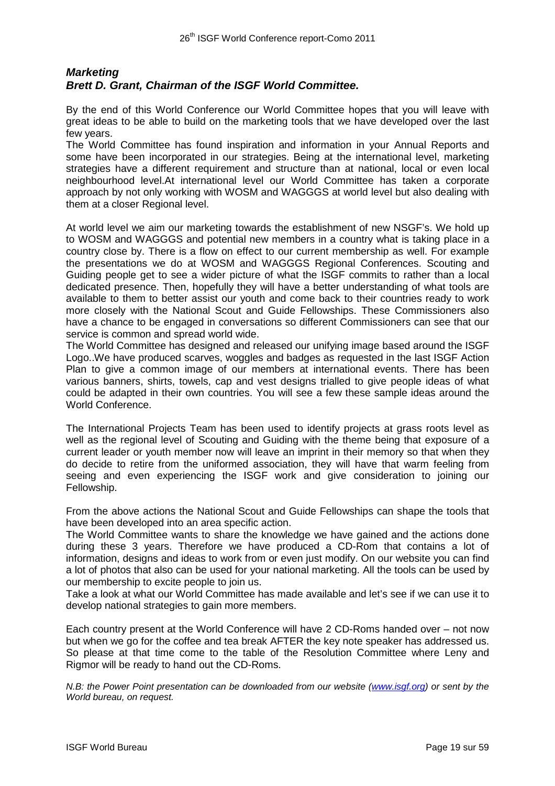# **Marketing Brett D. Grant, Chairman of the ISGF World Committee.**

By the end of this World Conference our World Committee hopes that you will leave with great ideas to be able to build on the marketing tools that we have developed over the last few years.

The World Committee has found inspiration and information in your Annual Reports and some have been incorporated in our strategies. Being at the international level, marketing strategies have a different requirement and structure than at national, local or even local neighbourhood level.At international level our World Committee has taken a corporate approach by not only working with WOSM and WAGGGS at world level but also dealing with them at a closer Regional level.

At world level we aim our marketing towards the establishment of new NSGF's. We hold up to WOSM and WAGGGS and potential new members in a country what is taking place in a country close by. There is a flow on effect to our current membership as well. For example the presentations we do at WOSM and WAGGGS Regional Conferences. Scouting and Guiding people get to see a wider picture of what the ISGF commits to rather than a local dedicated presence. Then, hopefully they will have a better understanding of what tools are available to them to better assist our youth and come back to their countries ready to work more closely with the National Scout and Guide Fellowships. These Commissioners also have a chance to be engaged in conversations so different Commissioners can see that our service is common and spread world wide.

The World Committee has designed and released our unifying image based around the ISGF Logo..We have produced scarves, woggles and badges as requested in the last ISGF Action Plan to give a common image of our members at international events. There has been various banners, shirts, towels, cap and vest designs trialled to give people ideas of what could be adapted in their own countries. You will see a few these sample ideas around the World Conference.

The International Projects Team has been used to identify projects at grass roots level as well as the regional level of Scouting and Guiding with the theme being that exposure of a current leader or youth member now will leave an imprint in their memory so that when they do decide to retire from the uniformed association, they will have that warm feeling from seeing and even experiencing the ISGF work and give consideration to joining our Fellowship.

From the above actions the National Scout and Guide Fellowships can shape the tools that have been developed into an area specific action.

The World Committee wants to share the knowledge we have gained and the actions done during these 3 years. Therefore we have produced a CD-Rom that contains a lot of information, designs and ideas to work from or even just modify. On our website you can find a lot of photos that also can be used for your national marketing. All the tools can be used by our membership to excite people to join us.

Take a look at what our World Committee has made available and let's see if we can use it to develop national strategies to gain more members.

Each country present at the World Conference will have 2 CD-Roms handed over – not now but when we go for the coffee and tea break AFTER the key note speaker has addressed us. So please at that time come to the table of the Resolution Committee where Leny and Rigmor will be ready to hand out the CD-Roms.

N.B: the Power Point presentation can be downloaded from our website (www.isgf.org) or sent by the World bureau, on request.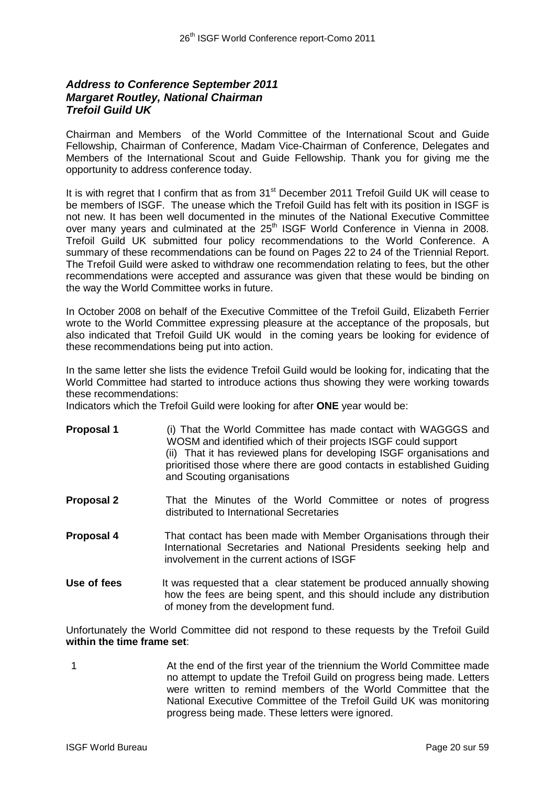# **Address to Conference September 2011 Margaret Routley, National Chairman Trefoil Guild UK**

Chairman and Members of the World Committee of the International Scout and Guide Fellowship, Chairman of Conference, Madam Vice-Chairman of Conference, Delegates and Members of the International Scout and Guide Fellowship. Thank you for giving me the opportunity to address conference today.

It is with regret that I confirm that as from 31<sup>st</sup> December 2011 Trefoil Guild UK will cease to be members of ISGF. The unease which the Trefoil Guild has felt with its position in ISGF is not new. It has been well documented in the minutes of the National Executive Committee over many years and culminated at the 25<sup>th</sup> ISGF World Conference in Vienna in 2008. Trefoil Guild UK submitted four policy recommendations to the World Conference. A summary of these recommendations can be found on Pages 22 to 24 of the Triennial Report. The Trefoil Guild were asked to withdraw one recommendation relating to fees, but the other recommendations were accepted and assurance was given that these would be binding on the way the World Committee works in future.

In October 2008 on behalf of the Executive Committee of the Trefoil Guild, Elizabeth Ferrier wrote to the World Committee expressing pleasure at the acceptance of the proposals, but also indicated that Trefoil Guild UK would in the coming years be looking for evidence of these recommendations being put into action.

In the same letter she lists the evidence Trefoil Guild would be looking for, indicating that the World Committee had started to introduce actions thus showing they were working towards these recommendations:

Indicators which the Trefoil Guild were looking for after **ONE** year would be:

- **Proposal 1** (i) That the World Committee has made contact with WAGGGS and WOSM and identified which of their projects ISGF could support (ii) That it has reviewed plans for developing ISGF organisations and prioritised those where there are good contacts in established Guiding and Scouting organisations
- **Proposal 2** That the Minutes of the World Committee or notes of progress distributed to International Secretaries
- **Proposal 4** That contact has been made with Member Organisations through their International Secretaries and National Presidents seeking help and involvement in the current actions of ISGF
- Use of fees It was requested that a clear statement be produced annually showing how the fees are being spent, and this should include any distribution of money from the development fund.

Unfortunately the World Committee did not respond to these requests by the Trefoil Guild **within the time frame set**:

 1 At the end of the first year of the triennium the World Committee made no attempt to update the Trefoil Guild on progress being made. Letters were written to remind members of the World Committee that the National Executive Committee of the Trefoil Guild UK was monitoring progress being made. These letters were ignored.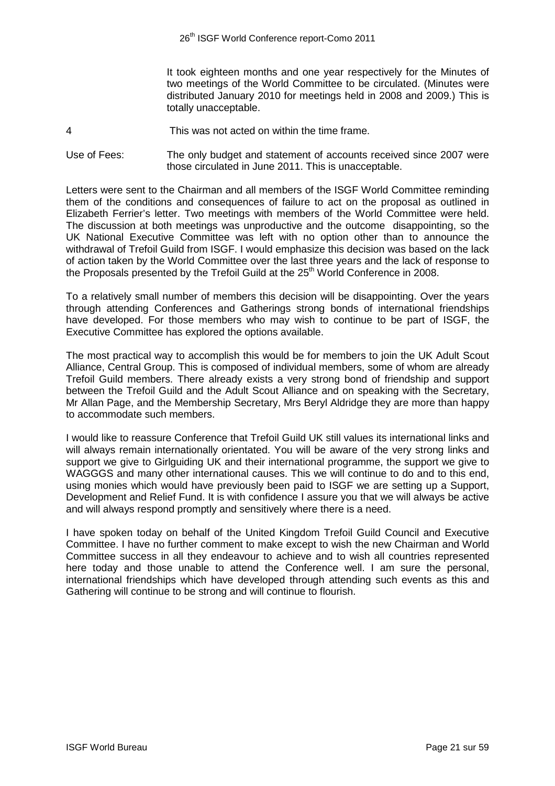It took eighteen months and one year respectively for the Minutes of two meetings of the World Committee to be circulated. (Minutes were distributed January 2010 for meetings held in 2008 and 2009.) This is totally unacceptable.

- 4 This was not acted on within the time frame.
- Use of Fees: The only budget and statement of accounts received since 2007 were those circulated in June 2011. This is unacceptable.

Letters were sent to the Chairman and all members of the ISGF World Committee reminding them of the conditions and consequences of failure to act on the proposal as outlined in Elizabeth Ferrier's letter. Two meetings with members of the World Committee were held. The discussion at both meetings was unproductive and the outcome disappointing, so the UK National Executive Committee was left with no option other than to announce the withdrawal of Trefoil Guild from ISGF. I would emphasize this decision was based on the lack of action taken by the World Committee over the last three years and the lack of response to the Proposals presented by the Trefoil Guild at the  $25<sup>th</sup>$  World Conference in 2008.

To a relatively small number of members this decision will be disappointing. Over the years through attending Conferences and Gatherings strong bonds of international friendships have developed. For those members who may wish to continue to be part of ISGF, the Executive Committee has explored the options available.

The most practical way to accomplish this would be for members to join the UK Adult Scout Alliance, Central Group. This is composed of individual members, some of whom are already Trefoil Guild members. There already exists a very strong bond of friendship and support between the Trefoil Guild and the Adult Scout Alliance and on speaking with the Secretary, Mr Allan Page, and the Membership Secretary, Mrs Beryl Aldridge they are more than happy to accommodate such members.

I would like to reassure Conference that Trefoil Guild UK still values its international links and will always remain internationally orientated. You will be aware of the very strong links and support we give to Girlguiding UK and their international programme, the support we give to WAGGGS and many other international causes. This we will continue to do and to this end, using monies which would have previously been paid to ISGF we are setting up a Support, Development and Relief Fund. It is with confidence I assure you that we will always be active and will always respond promptly and sensitively where there is a need.

I have spoken today on behalf of the United Kingdom Trefoil Guild Council and Executive Committee. I have no further comment to make except to wish the new Chairman and World Committee success in all they endeavour to achieve and to wish all countries represented here today and those unable to attend the Conference well. I am sure the personal, international friendships which have developed through attending such events as this and Gathering will continue to be strong and will continue to flourish.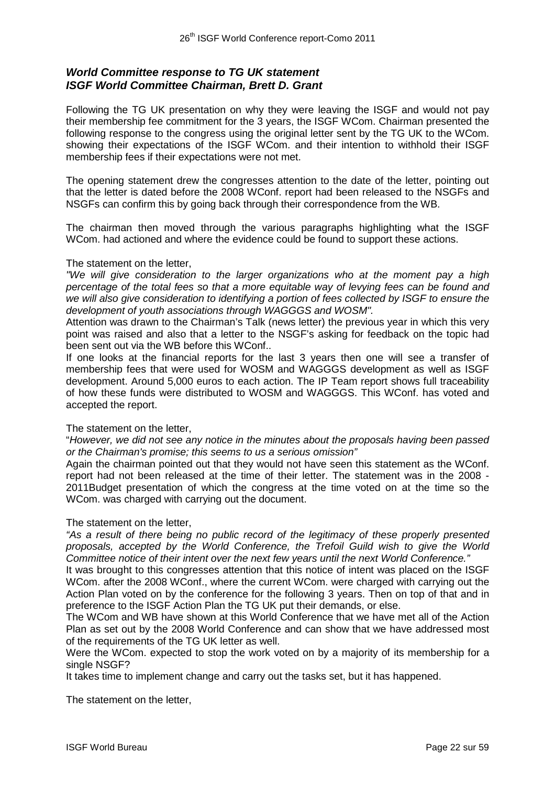# **World Committee response to TG UK statement ISGF World Committee Chairman, Brett D. Grant**

Following the TG UK presentation on why they were leaving the ISGF and would not pay their membership fee commitment for the 3 years, the ISGF WCom. Chairman presented the following response to the congress using the original letter sent by the TG UK to the WCom. showing their expectations of the ISGF WCom. and their intention to withhold their ISGF membership fees if their expectations were not met.

The opening statement drew the congresses attention to the date of the letter, pointing out that the letter is dated before the 2008 WConf. report had been released to the NSGFs and NSGFs can confirm this by going back through their correspondence from the WB.

The chairman then moved through the various paragraphs highlighting what the ISGF WCom. had actioned and where the evidence could be found to support these actions.

#### The statement on the letter,

"We will give consideration to the larger organizations who at the moment pay a high percentage of the total fees so that a more equitable way of levying fees can be found and we will also give consideration to identifying a portion of fees collected by ISGF to ensure the development of youth associations through WAGGGS and WOSM".

Attention was drawn to the Chairman's Talk (news letter) the previous year in which this very point was raised and also that a letter to the NSGF's asking for feedback on the topic had been sent out via the WB before this WConf..

If one looks at the financial reports for the last 3 years then one will see a transfer of membership fees that were used for WOSM and WAGGGS development as well as ISGF development. Around 5,000 euros to each action. The IP Team report shows full traceability of how these funds were distributed to WOSM and WAGGGS. This WConf. has voted and accepted the report.

#### The statement on the letter,

"However, we did not see any notice in the minutes about the proposals having been passed or the Chairman's promise; this seems to us a serious omission"

Again the chairman pointed out that they would not have seen this statement as the WConf. report had not been released at the time of their letter. The statement was in the 2008 - 2011Budget presentation of which the congress at the time voted on at the time so the WCom. was charged with carrying out the document.

#### The statement on the letter,

"As a result of there being no public record of the legitimacy of these properly presented proposals, accepted by the World Conference, the Trefoil Guild wish to give the World Committee notice of their intent over the next few years until the next World Conference."

It was brought to this congresses attention that this notice of intent was placed on the ISGF WCom. after the 2008 WConf., where the current WCom. were charged with carrying out the Action Plan voted on by the conference for the following 3 years. Then on top of that and in preference to the ISGF Action Plan the TG UK put their demands, or else.

The WCom and WB have shown at this World Conference that we have met all of the Action Plan as set out by the 2008 World Conference and can show that we have addressed most of the requirements of the TG UK letter as well.

Were the WCom. expected to stop the work voted on by a majority of its membership for a single NSGF?

It takes time to implement change and carry out the tasks set, but it has happened.

The statement on the letter,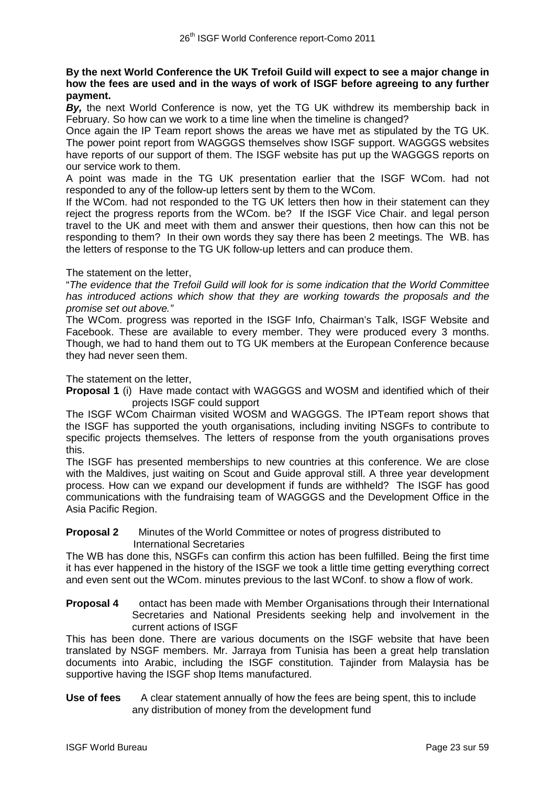# **By the next World Conference the UK Trefoil Guild will expect to see a major change in how the fees are used and in the ways of work of ISGF before agreeing to any further payment.**

**By,** the next World Conference is now, yet the TG UK withdrew its membership back in February. So how can we work to a time line when the timeline is changed?

Once again the IP Team report shows the areas we have met as stipulated by the TG UK. The power point report from WAGGGS themselves show ISGF support. WAGGGS websites have reports of our support of them. The ISGF website has put up the WAGGGS reports on our service work to them.

A point was made in the TG UK presentation earlier that the ISGF WCom. had not responded to any of the follow-up letters sent by them to the WCom.

If the WCom. had not responded to the TG UK letters then how in their statement can they reject the progress reports from the WCom. be? If the ISGF Vice Chair. and legal person travel to the UK and meet with them and answer their questions, then how can this not be responding to them? In their own words they say there has been 2 meetings. The WB. has the letters of response to the TG UK follow-up letters and can produce them.

# The statement on the letter,

"The evidence that the Trefoil Guild will look for is some indication that the World Committee has introduced actions which show that they are working towards the proposals and the promise set out above."

The WCom. progress was reported in the ISGF Info, Chairman's Talk, ISGF Website and Facebook. These are available to every member. They were produced every 3 months. Though, we had to hand them out to TG UK members at the European Conference because they had never seen them.

The statement on the letter,

**Proposal 1** (i) Have made contact with WAGGGS and WOSM and identified which of their projects ISGF could support

The ISGF WCom Chairman visited WOSM and WAGGGS. The IPTeam report shows that the ISGF has supported the youth organisations, including inviting NSGFs to contribute to specific projects themselves. The letters of response from the youth organisations proves this.

The ISGF has presented memberships to new countries at this conference. We are close with the Maldives, just waiting on Scout and Guide approval still. A three year development process. How can we expand our development if funds are withheld? The ISGF has good communications with the fundraising team of WAGGGS and the Development Office in the Asia Pacific Region.

# **Proposal 2** Minutes of the World Committee or notes of progress distributed to International Secretaries

The WB has done this, NSGFs can confirm this action has been fulfilled. Being the first time it has ever happened in the history of the ISGF we took a little time getting everything correct and even sent out the WCom. minutes previous to the last WConf. to show a flow of work.

**Proposal 4** ontact has been made with Member Organisations through their International Secretaries and National Presidents seeking help and involvement in the current actions of ISGF

This has been done. There are various documents on the ISGF website that have been translated by NSGF members. Mr. Jarraya from Tunisia has been a great help translation documents into Arabic, including the ISGF constitution. Tajinder from Malaysia has be supportive having the ISGF shop Items manufactured.

# Use of fees A clear statement annually of how the fees are being spent, this to include any distribution of money from the development fund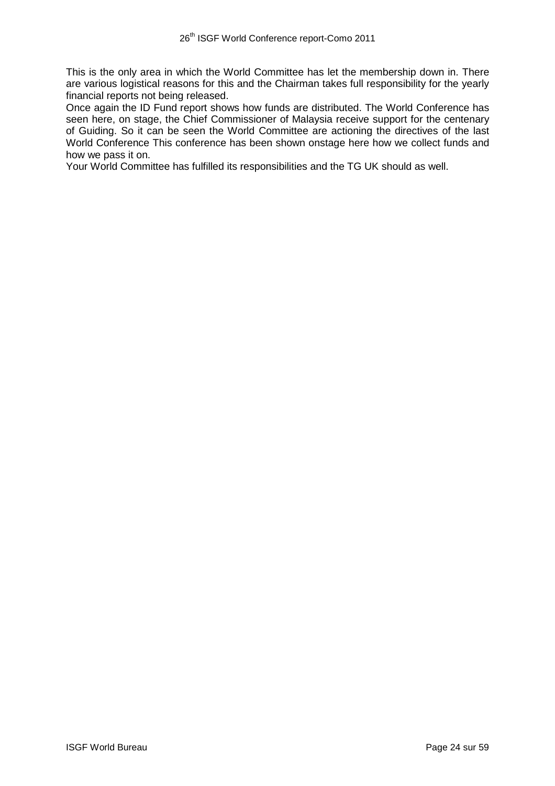This is the only area in which the World Committee has let the membership down in. There are various logistical reasons for this and the Chairman takes full responsibility for the yearly financial reports not being released.

Once again the ID Fund report shows how funds are distributed. The World Conference has seen here, on stage, the Chief Commissioner of Malaysia receive support for the centenary of Guiding. So it can be seen the World Committee are actioning the directives of the last World Conference This conference has been shown onstage here how we collect funds and how we pass it on.

Your World Committee has fulfilled its responsibilities and the TG UK should as well.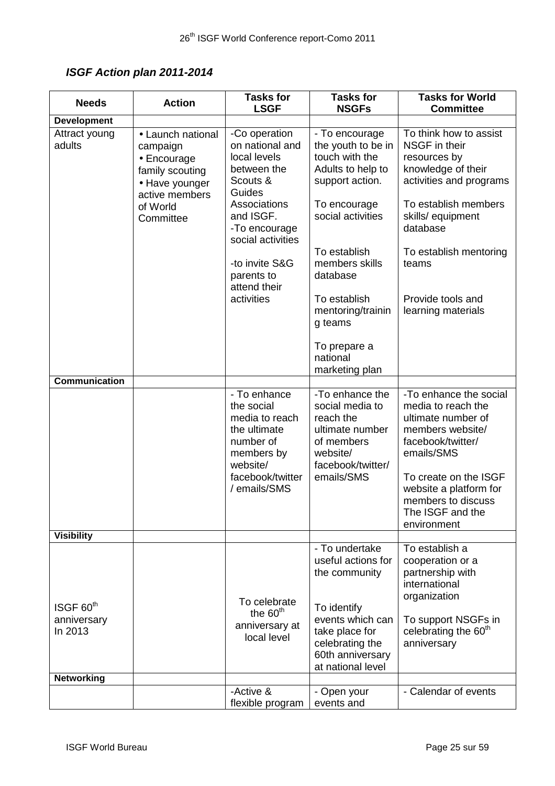# **ISGF Action plan 2011-2014**

| <b>Needs</b>                                    | <b>Action</b>                                                                                       | <b>Tasks for</b><br><b>LSGF</b>                                                                                                         | <b>Tasks for</b><br><b>NSGFs</b>                                                                                                | <b>Tasks for World</b><br><b>Committee</b>                                                                                                                                                                                            |
|-------------------------------------------------|-----------------------------------------------------------------------------------------------------|-----------------------------------------------------------------------------------------------------------------------------------------|---------------------------------------------------------------------------------------------------------------------------------|---------------------------------------------------------------------------------------------------------------------------------------------------------------------------------------------------------------------------------------|
| <b>Development</b>                              |                                                                                                     |                                                                                                                                         |                                                                                                                                 |                                                                                                                                                                                                                                       |
| Attract young<br>adults                         | • Launch national<br>campaign<br>• Encourage<br>family scouting<br>• Have younger<br>active members | -Co operation<br>on national and<br>local levels<br>between the<br>Scouts &<br>Guides                                                   | - To encourage<br>the youth to be in<br>touch with the<br>Adults to help to<br>support action.                                  | To think how to assist<br>NSGF in their<br>resources by<br>knowledge of their<br>activities and programs<br>To establish members                                                                                                      |
|                                                 | of World<br>Committee                                                                               | Associations<br>and ISGF.<br>-To encourage<br>social activities                                                                         | To encourage<br>social activities                                                                                               | skills/equipment<br>database                                                                                                                                                                                                          |
|                                                 |                                                                                                     | -to invite S&G<br>parents to<br>attend their                                                                                            | To establish<br>members skills<br>database                                                                                      | To establish mentoring<br>teams                                                                                                                                                                                                       |
|                                                 |                                                                                                     | activities                                                                                                                              | To establish<br>mentoring/trainin<br>g teams                                                                                    | Provide tools and<br>learning materials                                                                                                                                                                                               |
|                                                 |                                                                                                     |                                                                                                                                         | To prepare a<br>national<br>marketing plan                                                                                      |                                                                                                                                                                                                                                       |
| <b>Communication</b>                            |                                                                                                     |                                                                                                                                         |                                                                                                                                 |                                                                                                                                                                                                                                       |
|                                                 |                                                                                                     | - To enhance<br>the social<br>media to reach<br>the ultimate<br>number of<br>members by<br>website/<br>facebook/twitter<br>/ emails/SMS | -To enhance the<br>social media to<br>reach the<br>ultimate number<br>of members<br>website/<br>facebook/twitter/<br>emails/SMS | -To enhance the social<br>media to reach the<br>ultimate number of<br>members website/<br>facebook/twitter/<br>emails/SMS<br>To create on the ISGF<br>website a platform for<br>members to discuss<br>The ISGF and the<br>environment |
| <b>Visibility</b>                               |                                                                                                     |                                                                                                                                         |                                                                                                                                 |                                                                                                                                                                                                                                       |
|                                                 |                                                                                                     | To celebrate                                                                                                                            | - To undertake<br>useful actions for<br>the community                                                                           | To establish a<br>cooperation or a<br>partnership with<br>international<br>organization                                                                                                                                               |
| ISGF 60 <sup>th</sup><br>anniversary<br>In 2013 |                                                                                                     | the $60th$<br>anniversary at<br>local level                                                                                             | To identify<br>events which can<br>take place for<br>celebrating the<br>60th anniversary<br>at national level                   | To support NSGFs in<br>celebrating the 60 <sup>th</sup><br>anniversary                                                                                                                                                                |
| <b>Networking</b>                               |                                                                                                     |                                                                                                                                         |                                                                                                                                 |                                                                                                                                                                                                                                       |
|                                                 |                                                                                                     | -Active &<br>flexible program                                                                                                           | - Open your<br>events and                                                                                                       | - Calendar of events                                                                                                                                                                                                                  |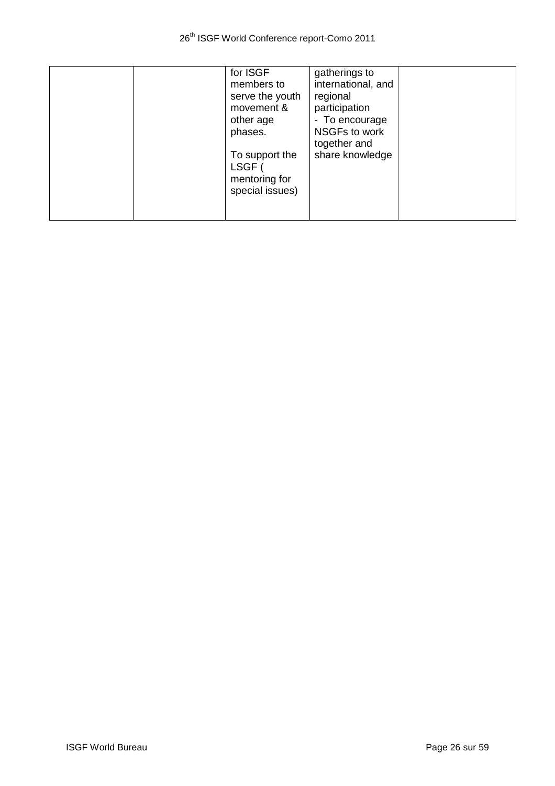26<sup>th</sup> ISGF World Conference report-Como 2011

|  | for ISGF<br>members to<br>serve the youth<br>movement &<br>other age<br>phases.<br>To support the<br>LSGF<br>mentoring for<br>special issues) | gatherings to<br>international, and<br>regional<br>participation<br>- To encourage<br>NSGFs to work<br>together and<br>share knowledge |  |
|--|-----------------------------------------------------------------------------------------------------------------------------------------------|----------------------------------------------------------------------------------------------------------------------------------------|--|
|  |                                                                                                                                               |                                                                                                                                        |  |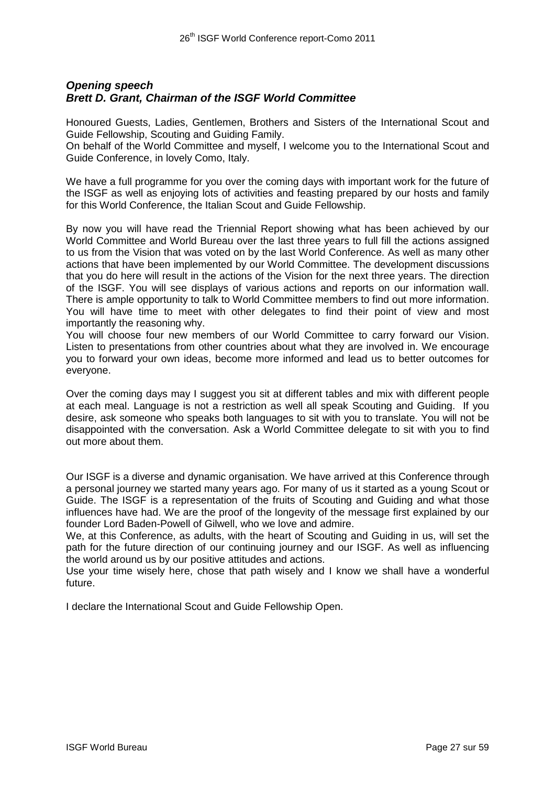# **Opening speech Brett D. Grant, Chairman of the ISGF World Committee**

Honoured Guests, Ladies, Gentlemen, Brothers and Sisters of the International Scout and Guide Fellowship, Scouting and Guiding Family.

On behalf of the World Committee and myself, I welcome you to the International Scout and Guide Conference, in lovely Como, Italy.

We have a full programme for you over the coming days with important work for the future of the ISGF as well as enjoying lots of activities and feasting prepared by our hosts and family for this World Conference, the Italian Scout and Guide Fellowship.

By now you will have read the Triennial Report showing what has been achieved by our World Committee and World Bureau over the last three years to full fill the actions assigned to us from the Vision that was voted on by the last World Conference. As well as many other actions that have been implemented by our World Committee. The development discussions that you do here will result in the actions of the Vision for the next three years. The direction of the ISGF. You will see displays of various actions and reports on our information wall. There is ample opportunity to talk to World Committee members to find out more information. You will have time to meet with other delegates to find their point of view and most importantly the reasoning why.

You will choose four new members of our World Committee to carry forward our Vision. Listen to presentations from other countries about what they are involved in. We encourage you to forward your own ideas, become more informed and lead us to better outcomes for everyone.

Over the coming days may I suggest you sit at different tables and mix with different people at each meal. Language is not a restriction as well all speak Scouting and Guiding. If you desire, ask someone who speaks both languages to sit with you to translate. You will not be disappointed with the conversation. Ask a World Committee delegate to sit with you to find out more about them.

Our ISGF is a diverse and dynamic organisation. We have arrived at this Conference through a personal journey we started many years ago. For many of us it started as a young Scout or Guide. The ISGF is a representation of the fruits of Scouting and Guiding and what those influences have had. We are the proof of the longevity of the message first explained by our founder Lord Baden-Powell of Gilwell, who we love and admire.

We, at this Conference, as adults, with the heart of Scouting and Guiding in us, will set the path for the future direction of our continuing journey and our ISGF. As well as influencing the world around us by our positive attitudes and actions.

Use your time wisely here, chose that path wisely and I know we shall have a wonderful future.

I declare the International Scout and Guide Fellowship Open.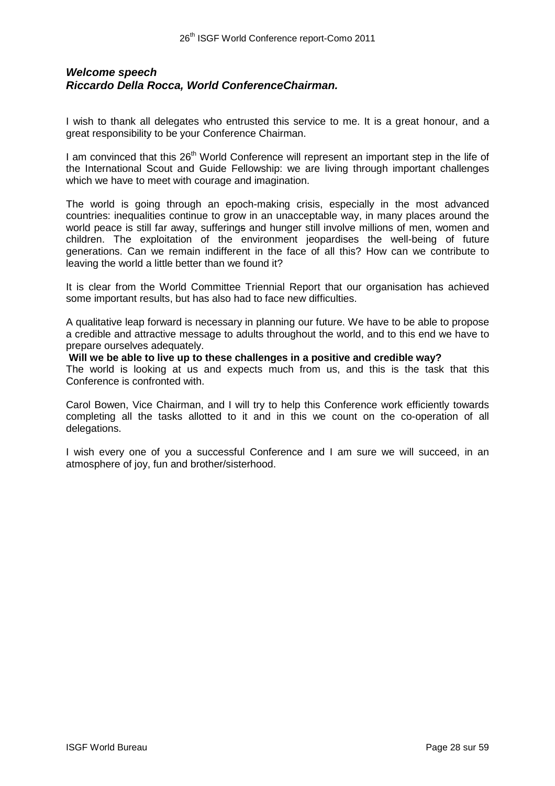# **Welcome speech Riccardo Della Rocca, World ConferenceChairman.**

I wish to thank all delegates who entrusted this service to me. It is a great honour, and a great responsibility to be your Conference Chairman.

I am convinced that this 26<sup>th</sup> World Conference will represent an important step in the life of the International Scout and Guide Fellowship: we are living through important challenges which we have to meet with courage and imagination.

The world is going through an epoch-making crisis, especially in the most advanced countries: inequalities continue to grow in an unacceptable way, in many places around the world peace is still far away, sufferings and hunger still involve millions of men, women and children. The exploitation of the environment jeopardises the well-being of future generations. Can we remain indifferent in the face of all this? How can we contribute to leaving the world a little better than we found it?

It is clear from the World Committee Triennial Report that our organisation has achieved some important results, but has also had to face new difficulties.

A qualitative leap forward is necessary in planning our future. We have to be able to propose a credible and attractive message to adults throughout the world, and to this end we have to prepare ourselves adequately.

 **Will we be able to live up to these challenges in a positive and credible way?**  The world is looking at us and expects much from us, and this is the task that this Conference is confronted with.

Carol Bowen, Vice Chairman, and I will try to help this Conference work efficiently towards completing all the tasks allotted to it and in this we count on the co-operation of all delegations.

I wish every one of you a successful Conference and I am sure we will succeed, in an atmosphere of joy, fun and brother/sisterhood.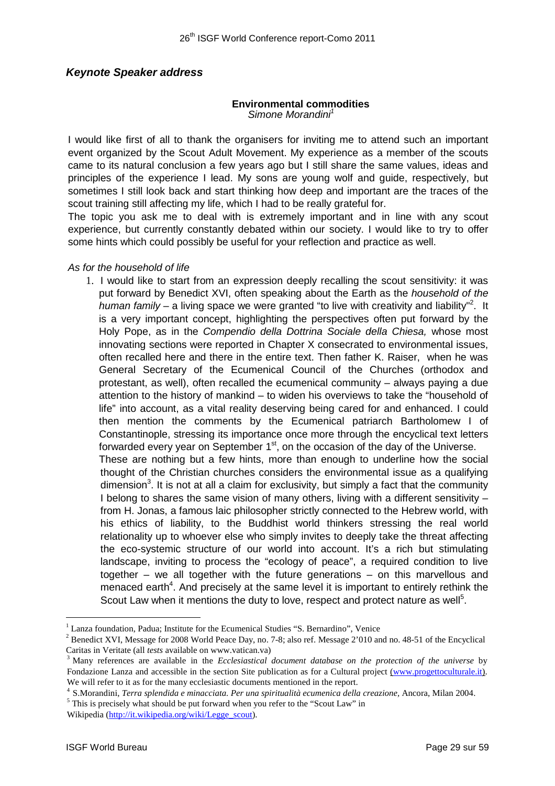# **Keynote Speaker address**

#### **Environmental commodities**  Simone Morandini<sup>1</sup>

I would like first of all to thank the organisers for inviting me to attend such an important event organized by the Scout Adult Movement. My experience as a member of the scouts came to its natural conclusion a few years ago but I still share the same values, ideas and principles of the experience I lead. My sons are young wolf and guide, respectively, but sometimes I still look back and start thinking how deep and important are the traces of the scout training still affecting my life, which I had to be really grateful for.

The topic you ask me to deal with is extremely important and in line with any scout experience, but currently constantly debated within our society. I would like to try to offer some hints which could possibly be useful for your reflection and practice as well.

# As for the household of life

1. I would like to start from an expression deeply recalling the scout sensitivity: it was put forward by Benedict XVI, often speaking about the Earth as the household of the human family – a living space we were granted "to live with creativity and liability"<sup>2</sup>. It is a very important concept, highlighting the perspectives often put forward by the Holy Pope, as in the Compendio della Dottrina Sociale della Chiesa, whose most innovating sections were reported in Chapter X consecrated to environmental issues, often recalled here and there in the entire text. Then father K. Raiser, when he was General Secretary of the Ecumenical Council of the Churches (orthodox and protestant, as well), often recalled the ecumenical community – always paying a due attention to the history of mankind – to widen his overviews to take the "household of life" into account, as a vital reality deserving being cared for and enhanced. I could then mention the comments by the Ecumenical patriarch Bartholomew I of Constantinople, stressing its importance once more through the encyclical text letters forwarded every year on September  $1<sup>st</sup>$ , on the occasion of the day of the Universe. These are nothing but a few hints, more than enough to underline how the social thought of the Christian churches considers the environmental issue as a qualifying dimension<sup>3</sup>. It is not at all a claim for exclusivity, but simply a fact that the community I belong to shares the same vision of many others, living with a different sensitivity – from H. Jonas, a famous laic philosopher strictly connected to the Hebrew world, with his ethics of liability, to the Buddhist world thinkers stressing the real world relationality up to whoever else who simply invites to deeply take the threat affecting the eco-systemic structure of our world into account. It's a rich but stimulating landscape, inviting to process the "ecology of peace", a required condition to live together – we all together with the future generations – on this marvellous and menaced earth<sup>4</sup>. And precisely at the same level it is important to entirely rethink the

Scout Law when it mentions the duty to love, respect and protect nature as well<sup>5</sup>.

<sup>5</sup> This is precisely what should be put forward when you refer to the "Scout Law" in

<sup>1</sup> Lanza foundation, Padua; Institute for the Ecumenical Studies "S. Bernardino", Venice

<sup>&</sup>lt;sup>2</sup> Benedict XVI, Message for 2008 World Peace Day, no. 7-8; also ref. Message 2'010 and no. 48-51 of the Encyclical Caritas in Veritate (all *tests* available on www.vatican.va)

<sup>3</sup> Many references are available in the *Ecclesiastical document database on the protection of the universe* by Fondazione Lanza and accessible in the section Site publication as for a Cultural project (www.progettoculturale.it). We will refer to it as for the many ecclesiastic documents mentioned in the report.

<sup>4</sup> S.Morandini, *Terra splendida e minacciata. Per una spiritualità ecumenica della creazione,* Ancora, Milan 2004.

Wikipedia (http://it.wikipedia.org/wiki/Legge\_scout).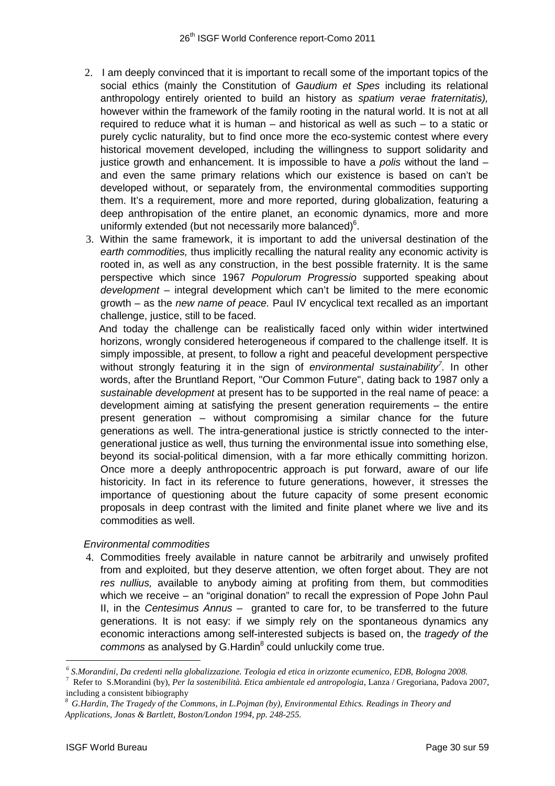- 2. I am deeply convinced that it is important to recall some of the important topics of the social ethics (mainly the Constitution of Gaudium et Spes including its relational anthropology entirely oriented to build an history as spatium verae fraternitatis), however within the framework of the family rooting in the natural world. It is not at all required to reduce what it is human – and historical as well as such – to a static or purely cyclic naturality, but to find once more the eco-systemic contest where every historical movement developed, including the willingness to support solidarity and justice growth and enhancement. It is impossible to have a *polis* without the land  $$ and even the same primary relations which our existence is based on can't be developed without, or separately from, the environmental commodities supporting them. It's a requirement, more and more reported, during globalization, featuring a deep anthropisation of the entire planet, an economic dynamics, more and more uniformly extended (but not necessarily more balanced) $6$ .
- 3. Within the same framework, it is important to add the universal destination of the earth commodities, thus implicitly recalling the natural reality any economic activity is rooted in, as well as any construction, in the best possible fraternity. It is the same perspective which since 1967 Populorum Progressio supported speaking about development – integral development which can't be limited to the mere economic growth – as the new name of peace. Paul IV encyclical text recalled as an important challenge, justice, still to be faced.

And today the challenge can be realistically faced only within wider intertwined horizons, wrongly considered heterogeneous if compared to the challenge itself. It is simply impossible, at present, to follow a right and peaceful development perspective without strongly featuring it in the sign of environmental sustainability<sup>7</sup>. In other words, after the Bruntland Report, "Our Common Future", dating back to 1987 only a sustainable development at present has to be supported in the real name of peace: a development aiming at satisfying the present generation requirements – the entire present generation – without compromising a similar chance for the future generations as well. The intra-generational justice is strictly connected to the intergenerational justice as well, thus turning the environmental issue into something else, beyond its social-political dimension, with a far more ethically committing horizon. Once more a deeply anthropocentric approach is put forward, aware of our life historicity. In fact in its reference to future generations, however, it stresses the importance of questioning about the future capacity of some present economic proposals in deep contrast with the limited and finite planet where we live and its commodities as well.

# Environmental commodities

4. Commodities freely available in nature cannot be arbitrarily and unwisely profited from and exploited, but they deserve attention, we often forget about. They are not res nullius, available to anybody aiming at profiting from them, but commodities which we receive – an "original donation" to recall the expression of Pope John Paul II, in the Centesimus Annus  $-$  granted to care for, to be transferred to the future generations. It is not easy: if we simply rely on the spontaneous dynamics any economic interactions among self-interested subjects is based on, the tragedy of the commons as analysed by G.Hardin<sup>8</sup> could unluckily come true.

<sup>&</sup>lt;sup>6</sup> S.Morandini, Da credenti nella globalizzazione. Teologia ed etica in orizzonte ecumenico, EDB, Bologna 2008.

<sup>7</sup> Refer to S.Morandini (by), *Per la sostenibilità. Etica ambientale ed antropologia*, Lanza / Gregoriana, Padova 2007, including a consistent bibiography

*<sup>8</sup> G.Hardin, The Tragedy of the Commons, in L.Pojman (by), Environmental Ethics. Readings in Theory and Applications, Jonas & Bartlett, Boston/London 1994, pp. 248-255.*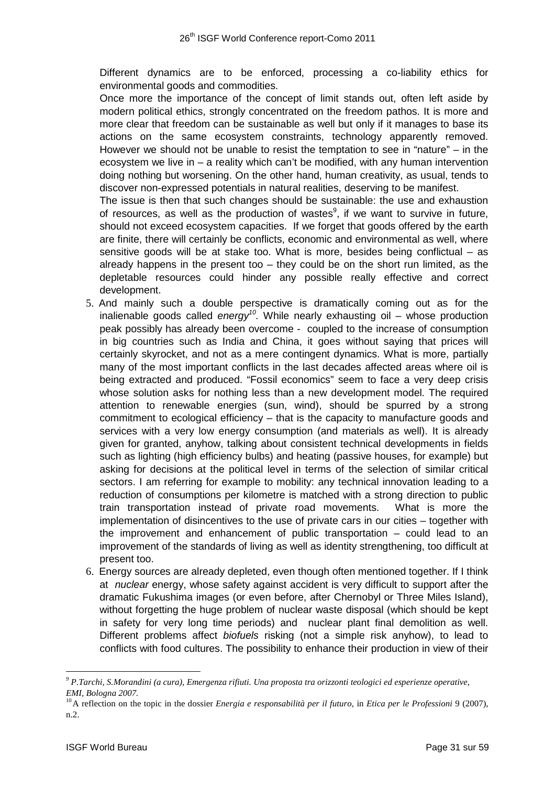Different dynamics are to be enforced, processing a co-liability ethics for environmental goods and commodities.

Once more the importance of the concept of limit stands out, often left aside by modern political ethics, strongly concentrated on the freedom pathos. It is more and more clear that freedom can be sustainable as well but only if it manages to base its actions on the same ecosystem constraints, technology apparently removed. However we should not be unable to resist the temptation to see in "nature" – in the ecosystem we live in – a reality which can't be modified, with any human intervention doing nothing but worsening. On the other hand, human creativity, as usual, tends to discover non-expressed potentials in natural realities, deserving to be manifest.

The issue is then that such changes should be sustainable: the use and exhaustion of resources, as well as the production of wastes $9$ , if we want to survive in future, should not exceed ecosystem capacities. If we forget that goods offered by the earth are finite, there will certainly be conflicts, economic and environmental as well, where sensitive goods will be at stake too. What is more, besides being conflictual – as already happens in the present too – they could be on the short run limited, as the depletable resources could hinder any possible really effective and correct development.

- 5. And mainly such a double perspective is dramatically coming out as for the inalienable goods called energy<sup>10</sup>. While nearly exhausting oil – whose production peak possibly has already been overcome - coupled to the increase of consumption in big countries such as India and China, it goes without saying that prices will certainly skyrocket, and not as a mere contingent dynamics. What is more, partially many of the most important conflicts in the last decades affected areas where oil is being extracted and produced. "Fossil economics" seem to face a very deep crisis whose solution asks for nothing less than a new development model. The required attention to renewable energies (sun, wind), should be spurred by a strong commitment to ecological efficiency – that is the capacity to manufacture goods and services with a very low energy consumption (and materials as well). It is already given for granted, anyhow, talking about consistent technical developments in fields such as lighting (high efficiency bulbs) and heating (passive houses, for example) but asking for decisions at the political level in terms of the selection of similar critical sectors. I am referring for example to mobility: any technical innovation leading to a reduction of consumptions per kilometre is matched with a strong direction to public train transportation instead of private road movements. What is more the implementation of disincentives to the use of private cars in our cities – together with the improvement and enhancement of public transportation – could lead to an improvement of the standards of living as well as identity strengthening, too difficult at present too.
- 6. Energy sources are already depleted, even though often mentioned together. If I think at nuclear energy, whose safety against accident is very difficult to support after the dramatic Fukushima images (or even before, after Chernobyl or Three Miles Island), without forgetting the huge problem of nuclear waste disposal (which should be kept in safety for very long time periods) and nuclear plant final demolition as well. Different problems affect biofuels risking (not a simple risk anyhow), to lead to conflicts with food cultures. The possibility to enhance their production in view of their

*<sup>9</sup> P.Tarchi, S.Morandini (a cura), Emergenza rifiuti. Una proposta tra orizzonti teologici ed esperienze operative, EMI, Bologna 2007.* 

<sup>&</sup>lt;sup>10</sup> A reflection on the topic in the dossier *Energia e responsabilità per il futuro*, in *Etica per le Professioni* 9 (2007), n.2.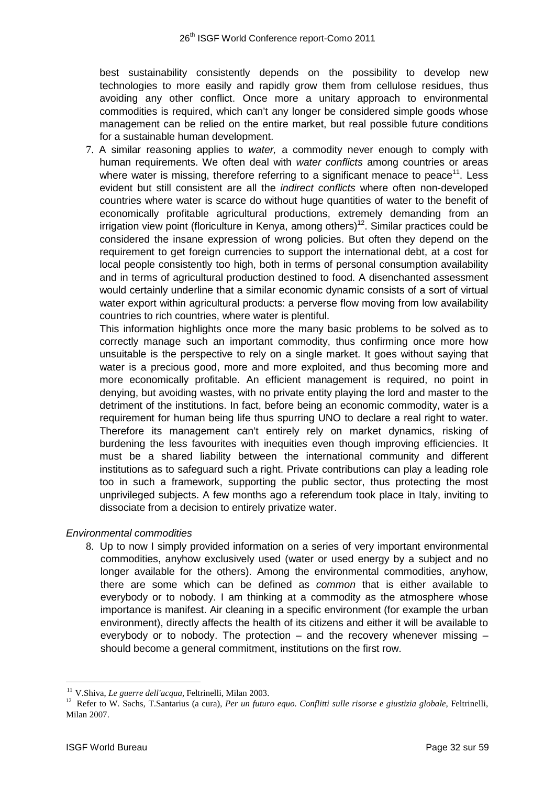best sustainability consistently depends on the possibility to develop new technologies to more easily and rapidly grow them from cellulose residues, thus avoiding any other conflict. Once more a unitary approach to environmental commodities is required, which can't any longer be considered simple goods whose management can be relied on the entire market, but real possible future conditions for a sustainable human development.

7. A similar reasoning applies to water, a commodity never enough to comply with human requirements. We often deal with water conflicts among countries or areas where water is missing, therefore referring to a significant menace to peace<sup>11</sup>. Less evident but still consistent are all the *indirect conflicts* where often non-developed countries where water is scarce do without huge quantities of water to the benefit of economically profitable agricultural productions, extremely demanding from an irrigation view point (floriculture in Kenya, among others)<sup>12</sup>. Similar practices could be considered the insane expression of wrong policies. But often they depend on the requirement to get foreign currencies to support the international debt, at a cost for local people consistently too high, both in terms of personal consumption availability and in terms of agricultural production destined to food. A disenchanted assessment would certainly underline that a similar economic dynamic consists of a sort of virtual water export within agricultural products: a perverse flow moving from low availability countries to rich countries, where water is plentiful.

This information highlights once more the many basic problems to be solved as to correctly manage such an important commodity, thus confirming once more how unsuitable is the perspective to rely on a single market. It goes without saying that water is a precious good, more and more exploited, and thus becoming more and more economically profitable. An efficient management is required, no point in denying, but avoiding wastes, with no private entity playing the lord and master to the detriment of the institutions. In fact, before being an economic commodity, water is a requirement for human being life thus spurring UNO to declare a real right to water. Therefore its management can't entirely rely on market dynamics, risking of burdening the less favourites with inequities even though improving efficiencies. It must be a shared liability between the international community and different institutions as to safeguard such a right. Private contributions can play a leading role too in such a framework, supporting the public sector, thus protecting the most unprivileged subjects. A few months ago a referendum took place in Italy, inviting to dissociate from a decision to entirely privatize water.

# Environmental commodities

8. Up to now I simply provided information on a series of very important environmental commodities, anyhow exclusively used (water or used energy by a subject and no longer available for the others). Among the environmental commodities, anyhow, there are some which can be defined as common that is either available to everybody or to nobody. I am thinking at a commodity as the atmosphere whose importance is manifest. Air cleaning in a specific environment (for example the urban environment), directly affects the health of its citizens and either it will be available to everybody or to nobody. The protection – and the recovery whenever missing – should become a general commitment, institutions on the first row.

<sup>11</sup> V.Shiva, *Le guerre dell'acqua,* Feltrinelli, Milan 2003.

<sup>12</sup> Refer to W. Sachs, T.Santarius (a cura), *Per un futuro equo. Conflitti sulle risorse e giustizia globale,* Feltrinelli, Milan 2007.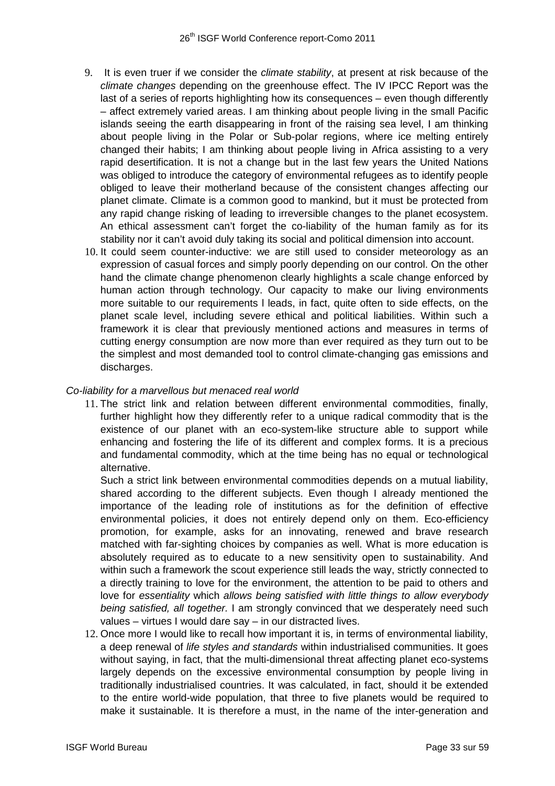- 9. It is even truer if we consider the climate stability, at present at risk because of the climate changes depending on the greenhouse effect. The IV IPCC Report was the last of a series of reports highlighting how its consequences – even though differently – affect extremely varied areas. I am thinking about people living in the small Pacific islands seeing the earth disappearing in front of the raising sea level, I am thinking about people living in the Polar or Sub-polar regions, where ice melting entirely changed their habits; I am thinking about people living in Africa assisting to a very rapid desertification. It is not a change but in the last few years the United Nations was obliged to introduce the category of environmental refugees as to identify people obliged to leave their motherland because of the consistent changes affecting our planet climate. Climate is a common good to mankind, but it must be protected from any rapid change risking of leading to irreversible changes to the planet ecosystem. An ethical assessment can't forget the co-liability of the human family as for its stability nor it can't avoid duly taking its social and political dimension into account.
- 10. It could seem counter-inductive: we are still used to consider meteorology as an expression of casual forces and simply poorly depending on our control. On the other hand the climate change phenomenon clearly highlights a scale change enforced by human action through technology. Our capacity to make our living environments more suitable to our requirements l leads, in fact, quite often to side effects, on the planet scale level, including severe ethical and political liabilities. Within such a framework it is clear that previously mentioned actions and measures in terms of cutting energy consumption are now more than ever required as they turn out to be the simplest and most demanded tool to control climate-changing gas emissions and discharges.

# Co-liability for a marvellous but menaced real world

11. The strict link and relation between different environmental commodities, finally, further highlight how they differently refer to a unique radical commodity that is the existence of our planet with an eco-system-like structure able to support while enhancing and fostering the life of its different and complex forms. It is a precious and fundamental commodity, which at the time being has no equal or technological alternative.

Such a strict link between environmental commodities depends on a mutual liability, shared according to the different subjects. Even though I already mentioned the importance of the leading role of institutions as for the definition of effective environmental policies, it does not entirely depend only on them. Eco-efficiency promotion, for example, asks for an innovating, renewed and brave research matched with far-sighting choices by companies as well. What is more education is absolutely required as to educate to a new sensitivity open to sustainability. And within such a framework the scout experience still leads the way, strictly connected to a directly training to love for the environment, the attention to be paid to others and love for essentiality which allows being satisfied with little things to allow everybody being satisfied, all together. I am strongly convinced that we desperately need such values – virtues I would dare say – in our distracted lives.

12. Once more I would like to recall how important it is, in terms of environmental liability, a deep renewal of life styles and standards within industrialised communities. It goes without saying, in fact, that the multi-dimensional threat affecting planet eco-systems largely depends on the excessive environmental consumption by people living in traditionally industrialised countries. It was calculated, in fact, should it be extended to the entire world-wide population, that three to five planets would be required to make it sustainable. It is therefore a must, in the name of the inter-generation and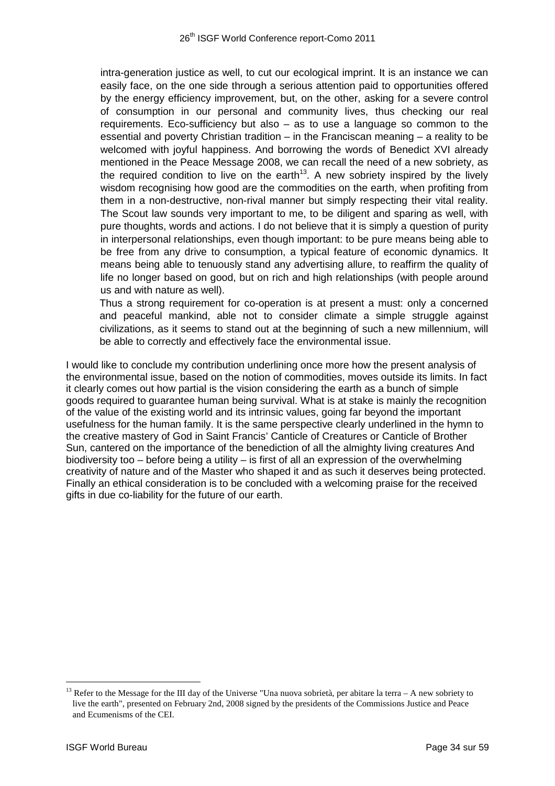intra-generation justice as well, to cut our ecological imprint. It is an instance we can easily face, on the one side through a serious attention paid to opportunities offered by the energy efficiency improvement, but, on the other, asking for a severe control of consumption in our personal and community lives, thus checking our real requirements. Eco-sufficiency but also  $-$  as to use a language so common to the essential and poverty Christian tradition – in the Franciscan meaning – a reality to be welcomed with joyful happiness. And borrowing the words of Benedict XVI already mentioned in the Peace Message 2008, we can recall the need of a new sobriety, as the required condition to live on the earth<sup>13</sup>. A new sobriety inspired by the lively wisdom recognising how good are the commodities on the earth, when profiting from them in a non-destructive, non-rival manner but simply respecting their vital reality. The Scout law sounds very important to me, to be diligent and sparing as well, with pure thoughts, words and actions. I do not believe that it is simply a question of purity in interpersonal relationships, even though important: to be pure means being able to be free from any drive to consumption, a typical feature of economic dynamics. It means being able to tenuously stand any advertising allure, to reaffirm the quality of life no longer based on good, but on rich and high relationships (with people around us and with nature as well).

Thus a strong requirement for co-operation is at present a must: only a concerned and peaceful mankind, able not to consider climate a simple struggle against civilizations, as it seems to stand out at the beginning of such a new millennium, will be able to correctly and effectively face the environmental issue.

I would like to conclude my contribution underlining once more how the present analysis of the environmental issue, based on the notion of commodities, moves outside its limits. In fact it clearly comes out how partial is the vision considering the earth as a bunch of simple goods required to guarantee human being survival. What is at stake is mainly the recognition of the value of the existing world and its intrinsic values, going far beyond the important usefulness for the human family. It is the same perspective clearly underlined in the hymn to the creative mastery of God in Saint Francis' Canticle of Creatures or Canticle of Brother Sun, cantered on the importance of the benediction of all the almighty living creatures And biodiversity too – before being a utility – is first of all an expression of the overwhelming creativity of nature and of the Master who shaped it and as such it deserves being protected. Finally an ethical consideration is to be concluded with a welcoming praise for the received gifts in due co-liability for the future of our earth.

<sup>&</sup>lt;sup>13</sup> Refer to the Message for the III day of the Universe "Una nuova sobrietà, per abitare la terra – A new sobriety to live the earth", presented on February 2nd, 2008 signed by the presidents of the Commissions Justice and Peace and Ecumenisms of the CEI.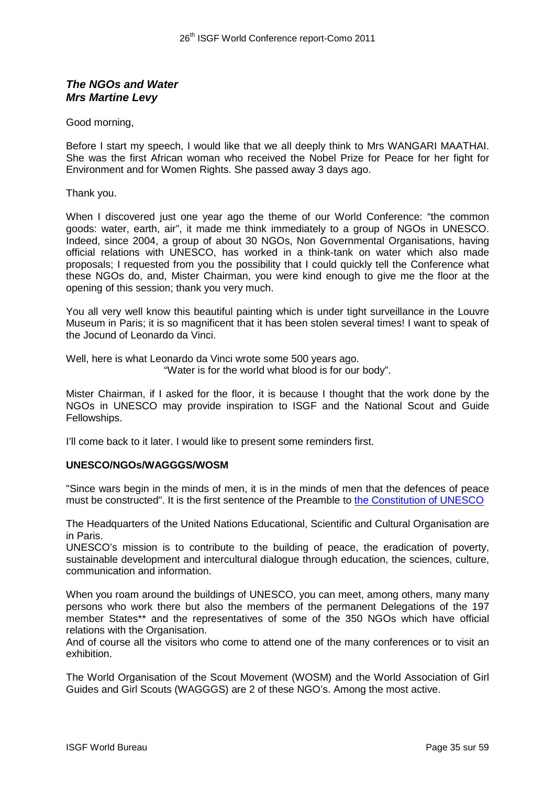# **The NGOs and Water Mrs Martine Levy**

Good morning,

Before I start my speech, I would like that we all deeply think to Mrs WANGARI MAATHAI. She was the first African woman who received the Nobel Prize for Peace for her fight for Environment and for Women Rights. She passed away 3 days ago.

Thank you.

When I discovered just one year ago the theme of our World Conference: "the common goods: water, earth, air", it made me think immediately to a group of NGOs in UNESCO. Indeed, since 2004, a group of about 30 NGOs, Non Governmental Organisations, having official relations with UNESCO, has worked in a think-tank on water which also made proposals; I requested from you the possibility that I could quickly tell the Conference what these NGOs do, and, Mister Chairman, you were kind enough to give me the floor at the opening of this session; thank you very much.

You all very well know this beautiful painting which is under tight surveillance in the Louvre Museum in Paris; it is so magnificent that it has been stolen several times! I want to speak of the Jocund of Leonardo da Vinci.

Well, here is what Leonardo da Vinci wrote some 500 years ago. "Water is for the world what blood is for our body".

Mister Chairman, if I asked for the floor, it is because I thought that the work done by the NGOs in UNESCO may provide inspiration to ISGF and the National Scout and Guide Fellowships.

I'll come back to it later. I would like to present some reminders first.

# **UNESCO/NGOs/WAGGGS/WOSM**

"Since wars begin in the minds of men, it is in the minds of men that the defences of peace must be constructed". It is the first sentence of the Preamble to the Constitution of UNESCO

The Headquarters of the United Nations Educational, Scientific and Cultural Organisation are in Paris.

UNESCO's mission is to contribute to the building of peace, the eradication of poverty, sustainable development and intercultural dialogue through education, the sciences, culture, communication and information.

When you roam around the buildings of UNESCO, you can meet, among others, many many persons who work there but also the members of the permanent Delegations of the 197 member States\*\* and the representatives of some of the 350 NGOs which have official relations with the Organisation.

And of course all the visitors who come to attend one of the many conferences or to visit an exhibition.

The World Organisation of the Scout Movement (WOSM) and the World Association of Girl Guides and Girl Scouts (WAGGGS) are 2 of these NGO's. Among the most active.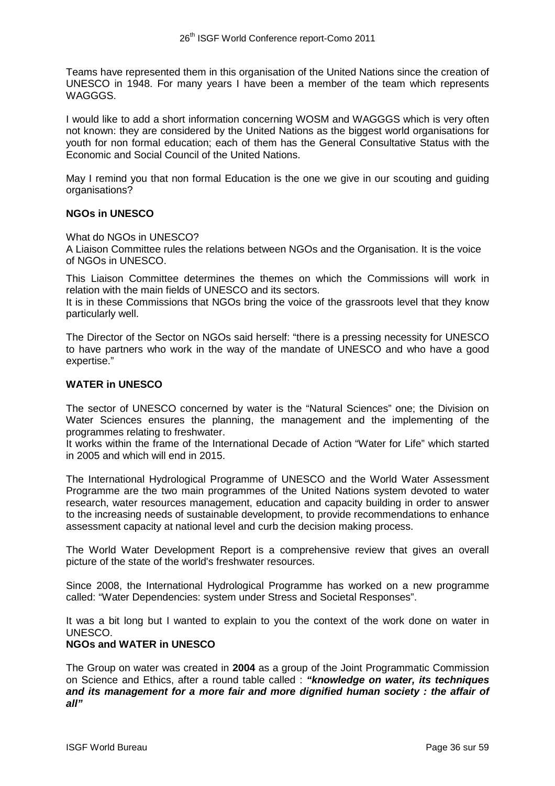Teams have represented them in this organisation of the United Nations since the creation of UNESCO in 1948. For many years I have been a member of the team which represents WAGGGS.

I would like to add a short information concerning WOSM and WAGGGS which is very often not known: they are considered by the United Nations as the biggest world organisations for youth for non formal education; each of them has the General Consultative Status with the Economic and Social Council of the United Nations.

May I remind you that non formal Education is the one we give in our scouting and guiding organisations?

# **NGOs in UNESCO**

What do NGOs in UNESCO?

A Liaison Committee rules the relations between NGOs and the Organisation. It is the voice of NGOs in UNESCO.

This Liaison Committee determines the themes on which the Commissions will work in relation with the main fields of UNESCO and its sectors.

It is in these Commissions that NGOs bring the voice of the grassroots level that they know particularly well.

The Director of the Sector on NGOs said herself: "there is a pressing necessity for UNESCO to have partners who work in the way of the mandate of UNESCO and who have a good expertise."

# **WATER in UNESCO**

The sector of UNESCO concerned by water is the "Natural Sciences" one; the Division on Water Sciences ensures the planning, the management and the implementing of the programmes relating to freshwater.

It works within the frame of the International Decade of Action "Water for Life" which started in 2005 and which will end in 2015.

The International Hydrological Programme of UNESCO and the World Water Assessment Programme are the two main programmes of the United Nations system devoted to water research, water resources management, education and capacity building in order to answer to the increasing needs of sustainable development, to provide recommendations to enhance assessment capacity at national level and curb the decision making process.

The World Water Development Report is a comprehensive review that gives an overall picture of the state of the world's freshwater resources.

Since 2008, the International Hydrological Programme has worked on a new programme called: "Water Dependencies: system under Stress and Societal Responses".

It was a bit long but I wanted to explain to you the context of the work done on water in UNESCO.

#### **NGOs and WATER in UNESCO**

The Group on water was created in **2004** as a group of the Joint Programmatic Commission on Science and Ethics, after a round table called : **"knowledge on water, its techniques and its management for a more fair and more dignified human society : the affair of all"**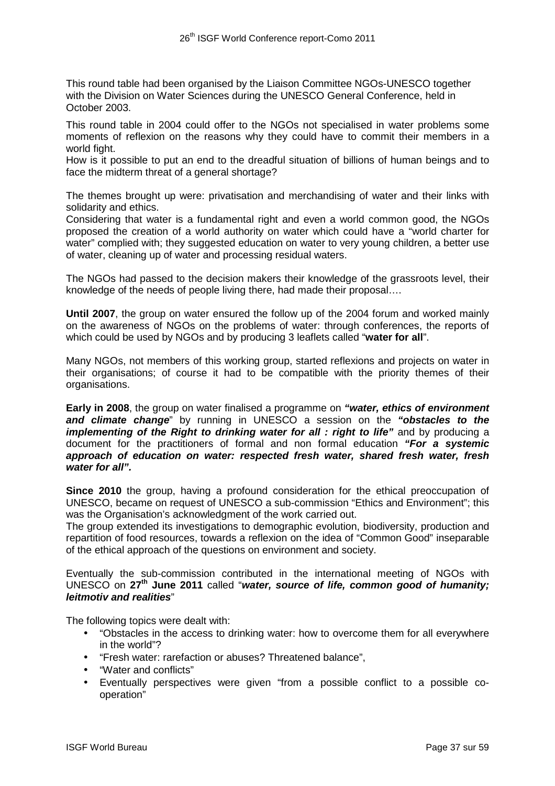This round table had been organised by the Liaison Committee NGOs-UNESCO together with the Division on Water Sciences during the UNESCO General Conference, held in October 2003.

This round table in 2004 could offer to the NGOs not specialised in water problems some moments of reflexion on the reasons why they could have to commit their members in a world fight.

How is it possible to put an end to the dreadful situation of billions of human beings and to face the midterm threat of a general shortage?

The themes brought up were: privatisation and merchandising of water and their links with solidarity and ethics.

Considering that water is a fundamental right and even a world common good, the NGOs proposed the creation of a world authority on water which could have a "world charter for water" complied with; they suggested education on water to very young children, a better use of water, cleaning up of water and processing residual waters.

The NGOs had passed to the decision makers their knowledge of the grassroots level, their knowledge of the needs of people living there, had made their proposal….

**Until 2007**, the group on water ensured the follow up of the 2004 forum and worked mainly on the awareness of NGOs on the problems of water: through conferences, the reports of which could be used by NGOs and by producing 3 leaflets called "**water for all**".

Many NGOs, not members of this working group, started reflexions and projects on water in their organisations; of course it had to be compatible with the priority themes of their organisations.

**Early in 2008**, the group on water finalised a programme on **"water, ethics of environment and climate change**" by running in UNESCO a session on the **"obstacles to the implementing of the Right to drinking water for all : right to life"** and by producing a document for the practitioners of formal and non formal education **"For a systemic approach of education on water: respected fresh water, shared fresh water, fresh water for all".** 

**Since 2010** the group, having a profound consideration for the ethical preoccupation of UNESCO, became on request of UNESCO a sub-commission "Ethics and Environment"; this was the Organisation's acknowledgment of the work carried out.

The group extended its investigations to demographic evolution, biodiversity, production and repartition of food resources, towards a reflexion on the idea of "Common Good" inseparable of the ethical approach of the questions on environment and society.

Eventually the sub-commission contributed in the international meeting of NGOs with UNESCO on **27th June 2011** called "**water, source of life, common good of humanity; leitmotiv and realities**"

The following topics were dealt with:

- "Obstacles in the access to drinking water: how to overcome them for all everywhere in the world"?
- "Fresh water: rarefaction or abuses? Threatened balance",
- "Water and conflicts"
- Eventually perspectives were given "from a possible conflict to a possible cooperation"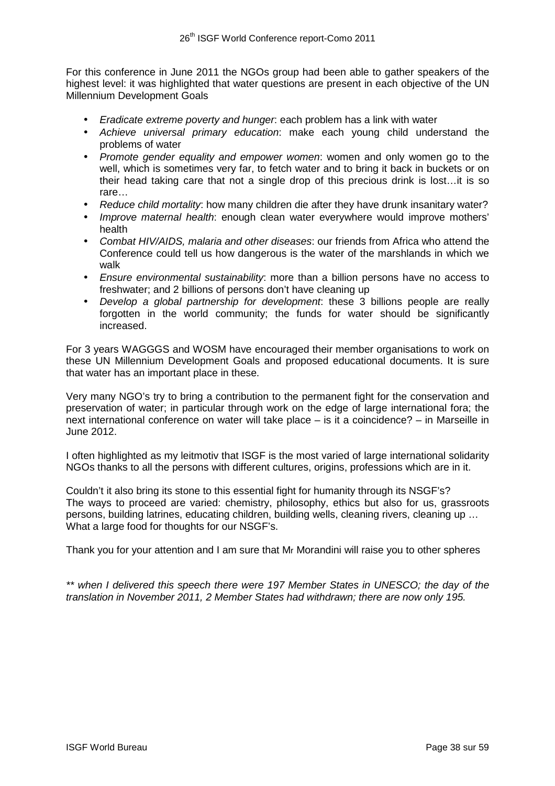For this conference in June 2011 the NGOs group had been able to gather speakers of the highest level: it was highlighted that water questions are present in each objective of the UN Millennium Development Goals

- Eradicate extreme poverty and hunger: each problem has a link with water
- Achieve universal primary education: make each young child understand the problems of water
- Promote gender equality and empower women: women and only women go to the well, which is sometimes very far, to fetch water and to bring it back in buckets or on their head taking care that not a single drop of this precious drink is lost…it is so rare…
- Reduce child mortality: how many children die after they have drunk insanitary water?
- Improve maternal health: enough clean water everywhere would improve mothers' health
- Combat HIV/AIDS, malaria and other diseases: our friends from Africa who attend the Conference could tell us how dangerous is the water of the marshlands in which we walk
- Ensure environmental sustainability: more than a billion persons have no access to freshwater; and 2 billions of persons don't have cleaning up
- Develop a global partnership for development; these 3 billions people are really forgotten in the world community; the funds for water should be significantly increased.

For 3 years WAGGGS and WOSM have encouraged their member organisations to work on these UN Millennium Development Goals and proposed educational documents. It is sure that water has an important place in these.

Very many NGO's try to bring a contribution to the permanent fight for the conservation and preservation of water; in particular through work on the edge of large international fora; the next international conference on water will take place – is it a coincidence? – in Marseille in June 2012.

I often highlighted as my leitmotiv that ISGF is the most varied of large international solidarity NGOs thanks to all the persons with different cultures, origins, professions which are in it.

Couldn't it also bring its stone to this essential fight for humanity through its NSGF's? The ways to proceed are varied: chemistry, philosophy, ethics but also for us, grassroots persons, building latrines, educating children, building wells, cleaning rivers, cleaning up … What a large food for thoughts for our NSGF's.

Thank you for your attention and I am sure that Mr Morandini will raise you to other spheres

\*\* when I delivered this speech there were 197 Member States in UNESCO; the day of the translation in November 2011, 2 Member States had withdrawn; there are now only 195.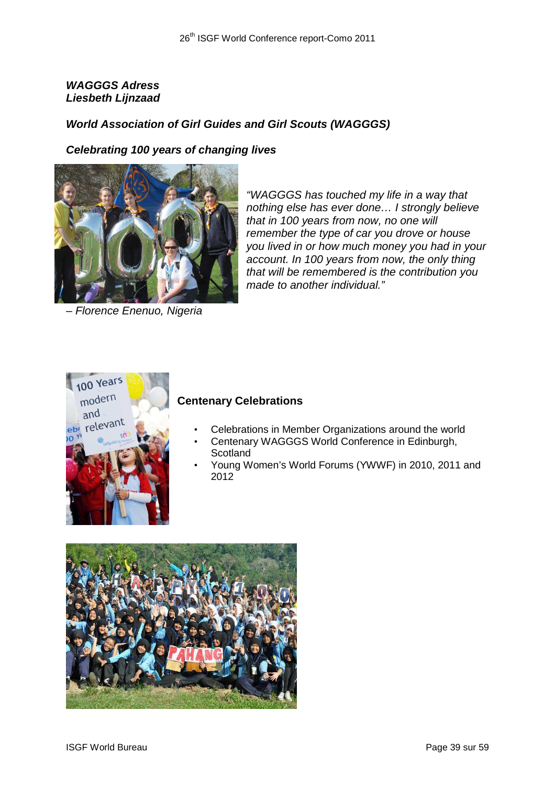# **WAGGGS Adress Liesbeth Lijnzaad**

# **World Association of Girl Guides and Girl Scouts (WAGGGS)**

# **Celebrating 100 years of changing lives**



– Florence Enenuo, Nigeria

"WAGGGS has touched my life in a way that nothing else has ever done… I strongly believe that in 100 years from now, no one will remember the type of car you drove or house you lived in or how much money you had in your account. In 100 years from now, the only thing that will be remembered is the contribution you made to another individual."



# **Centenary Celebrations**

- Celebrations in Member Organizations around the world
- Centenary WAGGGS World Conference in Edinburgh, **Scotland**
- Young Women's World Forums (YWWF) in 2010, 2011 and 2012

![](_page_39_Picture_12.jpeg)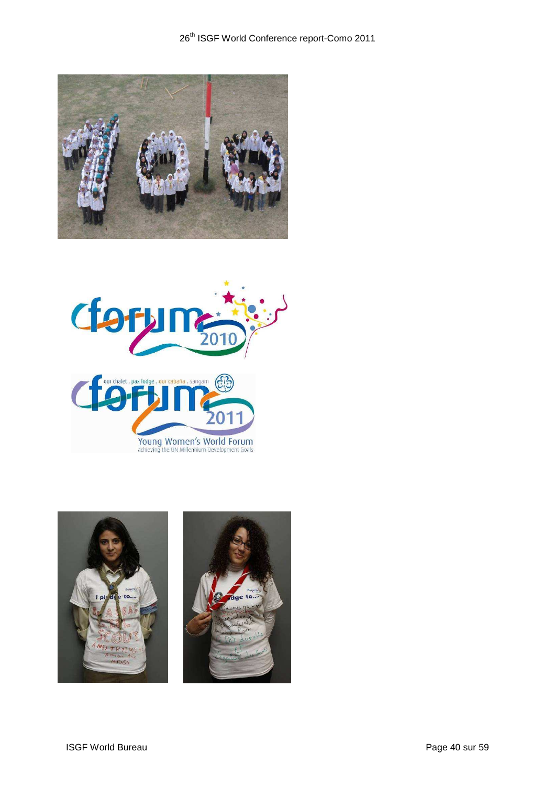26<sup>th</sup> ISGF World Conference report-Como 2011

![](_page_40_Picture_1.jpeg)

![](_page_40_Picture_2.jpeg)

![](_page_40_Picture_3.jpeg)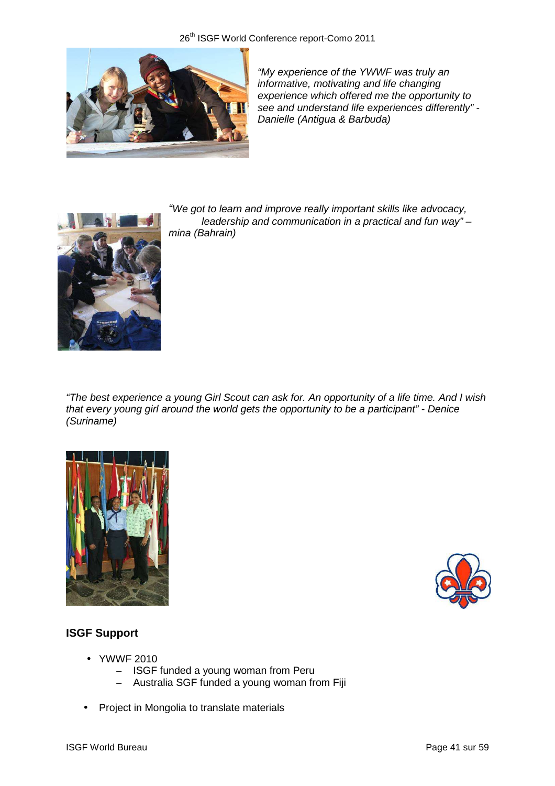26<sup>th</sup> ISGF World Conference report-Como 2011

![](_page_41_Picture_1.jpeg)

"My experience of the YWWF was truly an informative, motivating and life changing experience which offered me the opportunity to see and understand life experiences differently" - Danielle (Antigua & Barbuda)

![](_page_41_Picture_3.jpeg)

"We got to learn and improve really important skills like advocacy, leadership and communication in a practical and fun way" – mina (Bahrain)

"The best experience a young Girl Scout can ask for. An opportunity of a life time. And I wish that every young girl around the world gets the opportunity to be a participant" - Denice (Suriname)

![](_page_41_Picture_6.jpeg)

![](_page_41_Picture_7.jpeg)

# **ISGF Support**

- YWWF 2010
	- ISGF funded a young woman from Peru
	- Australia SGF funded a young woman from Fiji
- Project in Mongolia to translate materials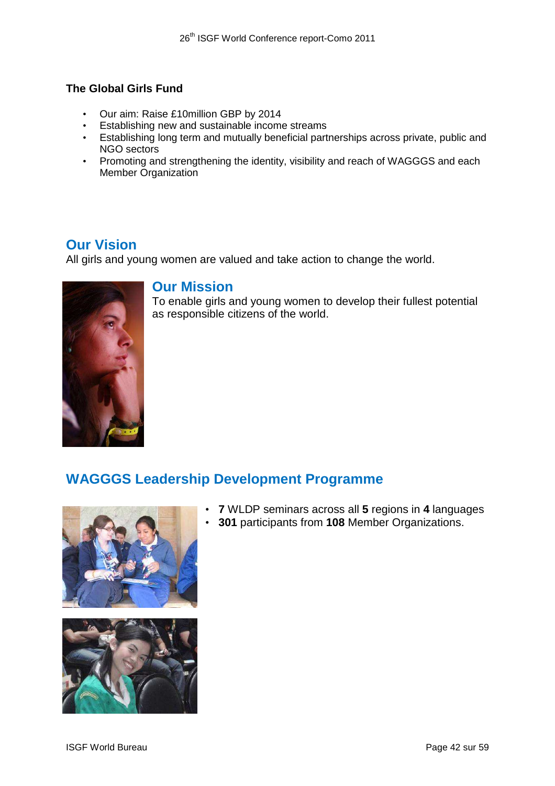# **The Global Girls Fund**

- Our aim: Raise £10million GBP by 2014
- Establishing new and sustainable income streams
- Establishing long term and mutually beneficial partnerships across private, public and NGO sectors
- Promoting and strengthening the identity, visibility and reach of WAGGGS and each Member Organization

# **Our Vision**

All girls and young women are valued and take action to change the world.

![](_page_42_Picture_8.jpeg)

# **Our Mission**

To enable girls and young women to develop their fullest potential as responsible citizens of the world.

# **WAGGGS Leadership Development Programme**

![](_page_42_Picture_12.jpeg)

![](_page_42_Picture_13.jpeg)

- **7** WLDP seminars across all **5** regions in **4** languages
- **301** participants from **108** Member Organizations.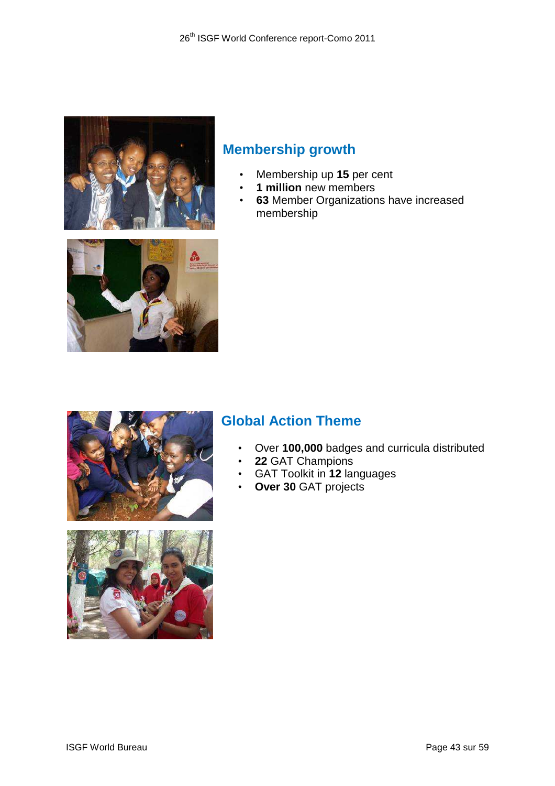![](_page_43_Picture_1.jpeg)

# **Membership growth**

- Membership up **15** per cent
- **1 million** new members
- **63** Member Organizations have increased membership

![](_page_43_Picture_6.jpeg)

![](_page_43_Picture_7.jpeg)

![](_page_43_Picture_8.jpeg)

# **Global Action Theme**

- Over **100,000** badges and curricula distributed
- **22** GAT Champions
- GAT Toolkit in **12** languages
- **Over 30** GAT projects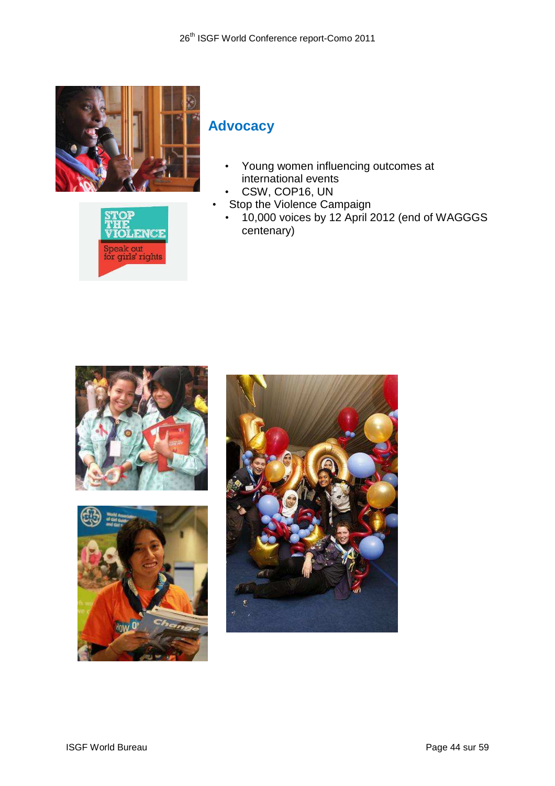![](_page_44_Picture_1.jpeg)

![](_page_44_Picture_2.jpeg)

# **Advocacy**

- Young women influencing outcomes at international events
- CSW, COP16, UN
- Stop the Violence Campaign
	- 10,000 voices by 12 April 2012 (end of WAGGGS centenary)

![](_page_44_Picture_8.jpeg)

![](_page_44_Picture_9.jpeg)

![](_page_44_Picture_10.jpeg)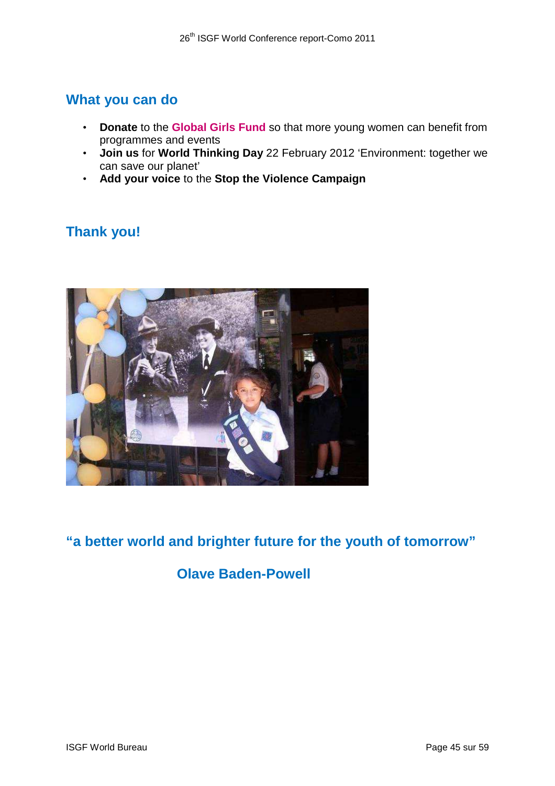# **What you can do**

- **Donate** to the **Global Girls Fund** so that more young women can benefit from programmes and events
- **Join us** for **World Thinking Day** 22 February 2012 'Environment: together we can save our planet'
- **Add your voice** to the **Stop the Violence Campaign**

# **Thank you!**

![](_page_45_Picture_6.jpeg)

# **"a better world and brighter future for the youth of tomorrow"**

# **Olave Baden-Powell**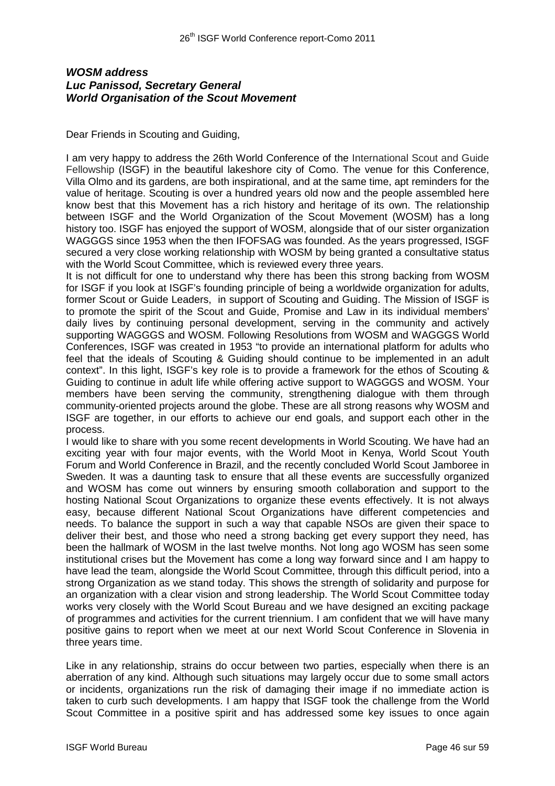# **WOSM address Luc Panissod, Secretary General World Organisation of the Scout Movement**

Dear Friends in Scouting and Guiding,

I am very happy to address the 26th World Conference of the International Scout and Guide Fellowship (ISGF) in the beautiful lakeshore city of Como. The venue for this Conference, Villa Olmo and its gardens, are both inspirational, and at the same time, apt reminders for the value of heritage. Scouting is over a hundred years old now and the people assembled here know best that this Movement has a rich history and heritage of its own. The relationship between ISGF and the World Organization of the Scout Movement (WOSM) has a long history too. ISGF has enjoyed the support of WOSM, alongside that of our sister organization WAGGGS since 1953 when the then IFOFSAG was founded. As the years progressed, ISGF secured a very close working relationship with WOSM by being granted a consultative status with the World Scout Committee, which is reviewed every three years.

It is not difficult for one to understand why there has been this strong backing from WOSM for ISGF if you look at ISGF's founding principle of being a worldwide organization for adults, former Scout or Guide Leaders, in support of Scouting and Guiding. The Mission of ISGF is to promote the spirit of the Scout and Guide, Promise and Law in its individual members' daily lives by continuing personal development, serving in the community and actively supporting WAGGGS and WOSM. Following Resolutions from WOSM and WAGGGS World Conferences, ISGF was created in 1953 "to provide an international platform for adults who feel that the ideals of Scouting & Guiding should continue to be implemented in an adult context". In this light, ISGF's key role is to provide a framework for the ethos of Scouting & Guiding to continue in adult life while offering active support to WAGGGS and WOSM. Your members have been serving the community, strengthening dialogue with them through community-oriented projects around the globe. These are all strong reasons why WOSM and ISGF are together, in our efforts to achieve our end goals, and support each other in the process.

I would like to share with you some recent developments in World Scouting. We have had an exciting year with four major events, with the World Moot in Kenya, World Scout Youth Forum and World Conference in Brazil, and the recently concluded World Scout Jamboree in Sweden. It was a daunting task to ensure that all these events are successfully organized and WOSM has come out winners by ensuring smooth collaboration and support to the hosting National Scout Organizations to organize these events effectively. It is not always easy, because different National Scout Organizations have different competencies and needs. To balance the support in such a way that capable NSOs are given their space to deliver their best, and those who need a strong backing get every support they need, has been the hallmark of WOSM in the last twelve months. Not long ago WOSM has seen some institutional crises but the Movement has come a long way forward since and I am happy to have lead the team, alongside the World Scout Committee, through this difficult period, into a strong Organization as we stand today. This shows the strength of solidarity and purpose for an organization with a clear vision and strong leadership. The World Scout Committee today works very closely with the World Scout Bureau and we have designed an exciting package of programmes and activities for the current triennium. I am confident that we will have many positive gains to report when we meet at our next World Scout Conference in Slovenia in three years time.

Like in any relationship, strains do occur between two parties, especially when there is an aberration of any kind. Although such situations may largely occur due to some small actors or incidents, organizations run the risk of damaging their image if no immediate action is taken to curb such developments. I am happy that ISGF took the challenge from the World Scout Committee in a positive spirit and has addressed some key issues to once again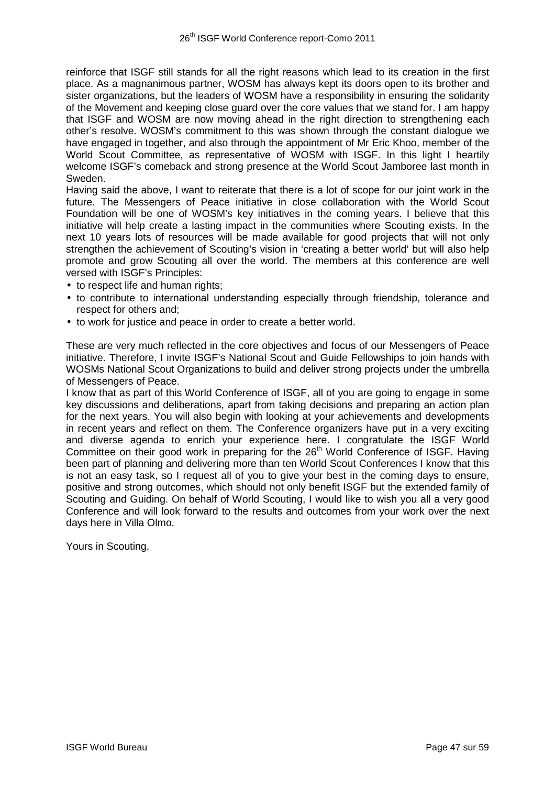reinforce that ISGF still stands for all the right reasons which lead to its creation in the first place. As a magnanimous partner, WOSM has always kept its doors open to its brother and sister organizations, but the leaders of WOSM have a responsibility in ensuring the solidarity of the Movement and keeping close guard over the core values that we stand for. I am happy that ISGF and WOSM are now moving ahead in the right direction to strengthening each other's resolve. WOSM's commitment to this was shown through the constant dialogue we have engaged in together, and also through the appointment of Mr Eric Khoo, member of the World Scout Committee, as representative of WOSM with ISGF. In this light I heartily welcome ISGF's comeback and strong presence at the World Scout Jamboree last month in Sweden.

Having said the above, I want to reiterate that there is a lot of scope for our joint work in the future. The Messengers of Peace initiative in close collaboration with the World Scout Foundation will be one of WOSM's key initiatives in the coming years. I believe that this initiative will help create a lasting impact in the communities where Scouting exists. In the next 10 years lots of resources will be made available for good projects that will not only strengthen the achievement of Scouting's vision in 'creating a better world' but will also help promote and grow Scouting all over the world. The members at this conference are well versed with ISGF's Principles:

- to respect life and human rights:
- to contribute to international understanding especially through friendship, tolerance and respect for others and;
- to work for justice and peace in order to create a better world.

These are very much reflected in the core objectives and focus of our Messengers of Peace initiative. Therefore, I invite ISGF's National Scout and Guide Fellowships to join hands with WOSMs National Scout Organizations to build and deliver strong projects under the umbrella of Messengers of Peace.

I know that as part of this World Conference of ISGF, all of you are going to engage in some key discussions and deliberations, apart from taking decisions and preparing an action plan for the next years. You will also begin with looking at your achievements and developments in recent years and reflect on them. The Conference organizers have put in a very exciting and diverse agenda to enrich your experience here. I congratulate the ISGF World Committee on their good work in preparing for the 26<sup>th</sup> World Conference of ISGF. Having been part of planning and delivering more than ten World Scout Conferences I know that this is not an easy task, so I request all of you to give your best in the coming days to ensure, positive and strong outcomes, which should not only benefit ISGF but the extended family of Scouting and Guiding. On behalf of World Scouting, I would like to wish you all a very good Conference and will look forward to the results and outcomes from your work over the next days here in Villa Olmo.

Yours in Scouting,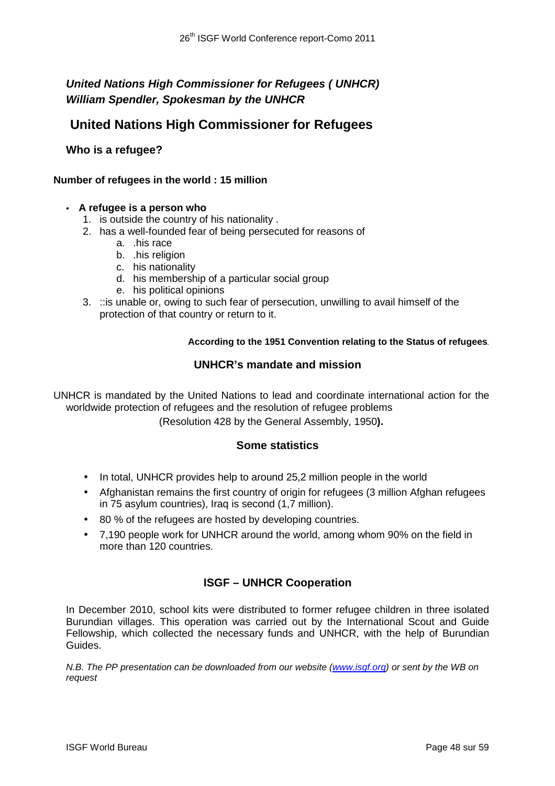**United Nations High Commissioner for Refugees ( UNHCR) William Spendler, Spokesman by the UNHCR** 

# **United Nations High Commissioner for Refugees**

**Who is a refugee?** 

# **Number of refugees in the world : 15 million**

# • **A refugee is a person who**

- 1. is outside the country of his nationality .
- 2. has a well-founded fear of being persecuted for reasons of
	- a. .his race
	- b. .his religion
	- c. his nationality
	- d. his membership of a particular social group
	- e. his political opinions
- 3. :: is unable or, owing to such fear of persecution, unwilling to avail himself of the protection of that country or return to it.

# **According to the 1951 Convention relating to the Status of refugees.**

# **UNHCR's mandate and mission**

UNHCR is mandated by the United Nations to lead and coordinate international action for the worldwide protection of refugees and the resolution of refugee problems

(Resolution 428 by the General Assembly, 1950**).** 

# **Some statistics**

- In total, UNHCR provides help to around 25,2 million people in the world
- Afghanistan remains the first country of origin for refugees (3 million Afghan refugees in 75 asylum countries), Iraq is second (1,7 million).
- 80 % of the refugees are hosted by developing countries.
- 7,190 people work for UNHCR around the world, among whom 90% on the field in more than 120 countries.

# **ISGF – UNHCR Cooperation**

In December 2010, school kits were distributed to former refugee children in three isolated Burundian villages. This operation was carried out by the International Scout and Guide Fellowship, which collected the necessary funds and UNHCR, with the help of Burundian Guides.

N.B. The PP presentation can be downloaded from our website (www.isgf.org) or sent by the WB on request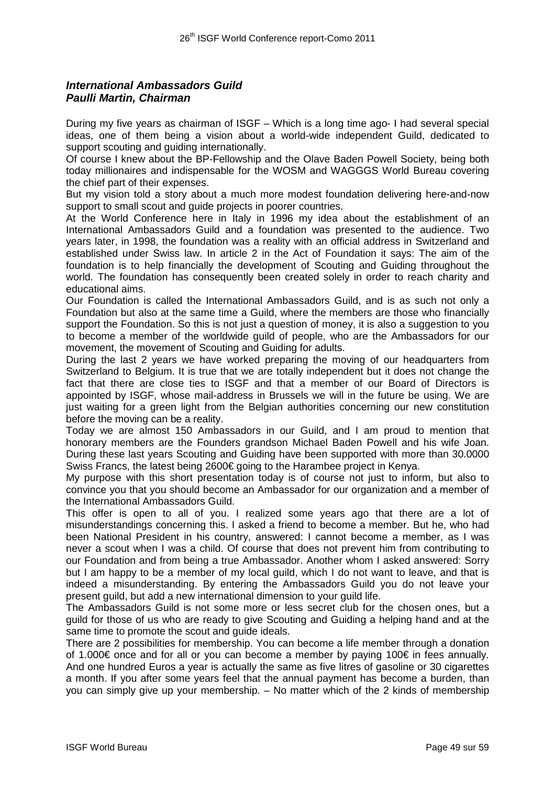# **International Ambassadors Guild Paulli Martin, Chairman**

During my five years as chairman of ISGF – Which is a long time ago- I had several special ideas, one of them being a vision about a world-wide independent Guild, dedicated to support scouting and guiding internationally.

Of course I knew about the BP-Fellowship and the Olave Baden Powell Society, being both today millionaires and indispensable for the WOSM and WAGGGS World Bureau covering the chief part of their expenses.

But my vision told a story about a much more modest foundation delivering here-and-now support to small scout and guide projects in poorer countries.

At the World Conference here in Italy in 1996 my idea about the establishment of an International Ambassadors Guild and a foundation was presented to the audience. Two years later, in 1998, the foundation was a reality with an official address in Switzerland and established under Swiss law. In article 2 in the Act of Foundation it says: The aim of the foundation is to help financially the development of Scouting and Guiding throughout the world. The foundation has consequently been created solely in order to reach charity and educational aims.

Our Foundation is called the International Ambassadors Guild, and is as such not only a Foundation but also at the same time a Guild, where the members are those who financially support the Foundation. So this is not just a question of money, it is also a suggestion to you to become a member of the worldwide guild of people, who are the Ambassadors for our movement, the movement of Scouting and Guiding for adults.

During the last 2 years we have worked preparing the moving of our headquarters from Switzerland to Belgium. It is true that we are totally independent but it does not change the fact that there are close ties to ISGF and that a member of our Board of Directors is appointed by ISGF, whose mail-address in Brussels we will in the future be using. We are just waiting for a green light from the Belgian authorities concerning our new constitution before the moving can be a reality.

Today we are almost 150 Ambassadors in our Guild, and I am proud to mention that honorary members are the Founders grandson Michael Baden Powell and his wife Joan. During these last years Scouting and Guiding have been supported with more than 30.0000 Swiss Francs, the latest being 2600€ going to the Harambee project in Kenya.

My purpose with this short presentation today is of course not just to inform, but also to convince you that you should become an Ambassador for our organization and a member of the International Ambassadors Guild.

This offer is open to all of you. I realized some years ago that there are a lot of misunderstandings concerning this. I asked a friend to become a member. But he, who had been National President in his country, answered: I cannot become a member, as I was never a scout when I was a child. Of course that does not prevent him from contributing to our Foundation and from being a true Ambassador. Another whom I asked answered: Sorry but I am happy to be a member of my local guild, which I do not want to leave, and that is indeed a misunderstanding. By entering the Ambassadors Guild you do not leave your present guild, but add a new international dimension to your guild life.

The Ambassadors Guild is not some more or less secret club for the chosen ones, but a guild for those of us who are ready to give Scouting and Guiding a helping hand and at the same time to promote the scout and guide ideals.

There are 2 possibilities for membership. You can become a life member through a donation of 1.000€ once and for all or you can become a member by paying 100€ in fees annually. And one hundred Euros a year is actually the same as five litres of gasoline or 30 cigarettes a month. If you after some years feel that the annual payment has become a burden, than you can simply give up your membership. – No matter which of the 2 kinds of membership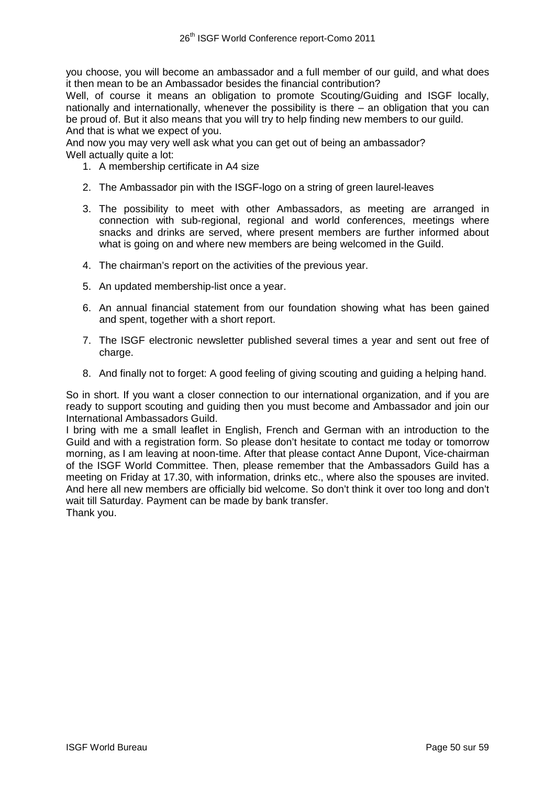you choose, you will become an ambassador and a full member of our guild, and what does it then mean to be an Ambassador besides the financial contribution?

Well, of course it means an obligation to promote Scouting/Guiding and ISGF locally, nationally and internationally, whenever the possibility is there – an obligation that you can be proud of. But it also means that you will try to help finding new members to our guild. And that is what we expect of you.

And now you may very well ask what you can get out of being an ambassador? Well actually quite a lot:

- 1. A membership certificate in A4 size
- 2. The Ambassador pin with the ISGF-logo on a string of green laurel-leaves
- 3. The possibility to meet with other Ambassadors, as meeting are arranged in connection with sub-regional, regional and world conferences, meetings where snacks and drinks are served, where present members are further informed about what is going on and where new members are being welcomed in the Guild.
- 4. The chairman's report on the activities of the previous year.
- 5. An updated membership-list once a year.
- 6. An annual financial statement from our foundation showing what has been gained and spent, together with a short report.
- 7. The ISGF electronic newsletter published several times a year and sent out free of charge.
- 8. And finally not to forget: A good feeling of giving scouting and guiding a helping hand.

So in short. If you want a closer connection to our international organization, and if you are ready to support scouting and guiding then you must become and Ambassador and join our International Ambassadors Guild.

I bring with me a small leaflet in English, French and German with an introduction to the Guild and with a registration form. So please don't hesitate to contact me today or tomorrow morning, as I am leaving at noon-time. After that please contact Anne Dupont, Vice-chairman of the ISGF World Committee. Then, please remember that the Ambassadors Guild has a meeting on Friday at 17.30, with information, drinks etc., where also the spouses are invited. And here all new members are officially bid welcome. So don't think it over too long and don't wait till Saturday. Payment can be made by bank transfer. Thank you.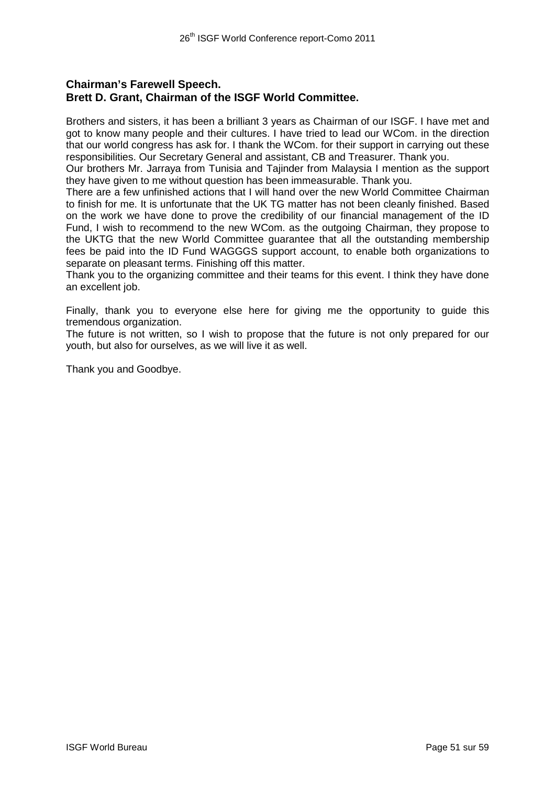# **Chairman's Farewell Speech. Brett D. Grant, Chairman of the ISGF World Committee.**

Brothers and sisters, it has been a brilliant 3 years as Chairman of our ISGF. I have met and got to know many people and their cultures. I have tried to lead our WCom. in the direction that our world congress has ask for. I thank the WCom. for their support in carrying out these responsibilities. Our Secretary General and assistant, CB and Treasurer. Thank you.

Our brothers Mr. Jarraya from Tunisia and Tajinder from Malaysia I mention as the support they have given to me without question has been immeasurable. Thank you.

There are a few unfinished actions that I will hand over the new World Committee Chairman to finish for me. It is unfortunate that the UK TG matter has not been cleanly finished. Based on the work we have done to prove the credibility of our financial management of the ID Fund, I wish to recommend to the new WCom. as the outgoing Chairman, they propose to the UKTG that the new World Committee guarantee that all the outstanding membership fees be paid into the ID Fund WAGGGS support account, to enable both organizations to separate on pleasant terms. Finishing off this matter.

Thank you to the organizing committee and their teams for this event. I think they have done an excellent job.

Finally, thank you to everyone else here for giving me the opportunity to guide this tremendous organization.

The future is not written, so I wish to propose that the future is not only prepared for our youth, but also for ourselves, as we will live it as well.

Thank you and Goodbye.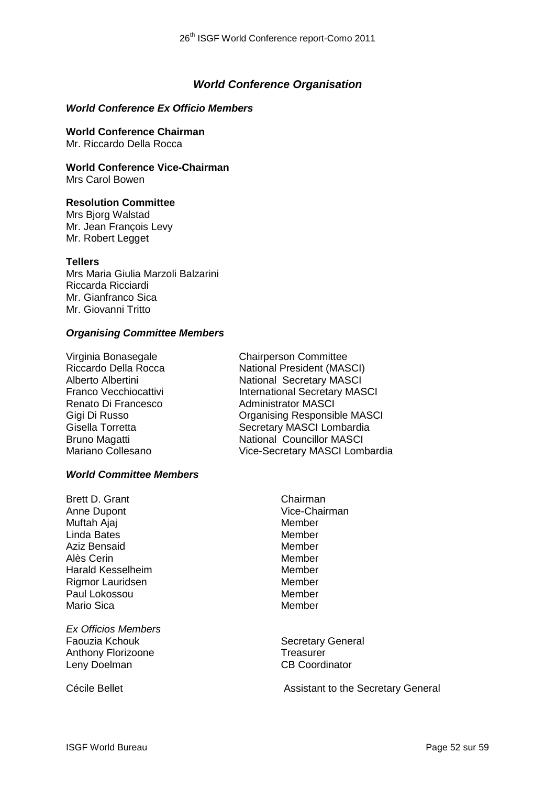# **World Conference Organisation**

# **World Conference Ex Officio Members**

#### **World Conference Chairman**

Mr. Riccardo Della Rocca

# **World Conference Vice-Chairman**

Mrs Carol Bowen

# **Resolution Committee**

Mrs Bjorg Walstad Mr. Jean François Levy Mr. Robert Legget

#### **Tellers**

Mrs Maria Giulia Marzoli Balzarini Riccarda Ricciardi Mr. Gianfranco Sica Mr. Giovanni Tritto

# **Organising Committee Members**

Virginia Bonasegale **Chairperson Committee Committee**<br>Riccardo Della Rocca **Committee Constant** National President (MAS Renato Di Francesco Administrator MASCI

#### **World Committee Members**

Brett D. Grant Chairman Anne Dupont Communication and Vice-Chairman Muftah Ajaj **Muftah Ajaj** Member Linda Bates **Member** Member Aziz Bensaid Member Alès Cerin **Member** Harald Kesselheim Member Rigmor Lauridsen Member Paul Lokossou **Member** Mario Sica **Mario Sical Company of the Member** 

Ex Officios Members Faouzia Kchouk **Secretary General** Secretary General Anthony Florizoone Treasurer Leny Doelman CB Coordinator

**National President (MASCI)** Alberto Albertini National Secretary MASCI Franco Vecchiocattivi **International Secretary MASCI** Gigi Di Russo Organising Responsible MASCI Gisella Torretta Secretary MASCI Lombardia Bruno Magatti **National Councillor MASCI** Mariano Collesano **Vice-Secretary MASCI Lombardia** 

Cécile Bellet **Assistant to the Secretary General**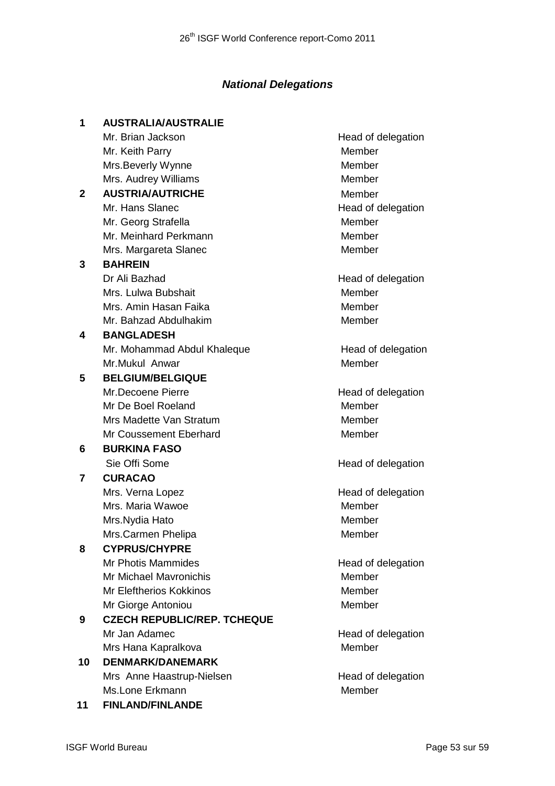# **National Delegations**

# **1 AUSTRALIA/AUSTRALIE**

Mr. Brian Jackson **Head of delegation** Mr. Keith Parry **Member** Member Mrs. Beverly Wynne Member Mrs. Audrey Williams Member **2 AUSTRIA/AUTRICHE** Member Mr. Hans Slanec Head of delegation Mr. Georg Strafella Member Mr. Meinhard Perkmann Member Mrs. Margareta Slanec Member **3 BAHREIN**  Dr Ali Bazhad Head of delegation Mrs. Lulwa Bubshait **Mrs.** Member Mrs. Amin Hasan Faika Member Mr. Bahzad Abdulhakim Member **4 BANGLADESH**  Mr. Mohammad Abdul Khaleque Head of delegation Mr.Mukul Anwar Member **5 BELGIUM/BELGIQUE**  Mr.Decoene Pierre **Head of delegation** Mr De Boel Roeland Member Mrs Madette Van Stratum and deutsche Member Mr Coussement Eberhard Member **6 BURKINA FASO**  Sie Offi Some Head of delegation **7 CURACAO**  Mrs. Verna Lopez **Head of delegation** Mrs. Maria Wawoe Member Mrs.Nydia Hato Member Mrs.Carmen Phelipa Member **8 CYPRUS/CHYPRE**  Mr Photis Mammides **Head of delegation** Mr Michael Mayronichis **Member** Member Mr Eleftherios Kokkinos **Member** Member Mr Giorge Antoniou **Member 9 CZECH REPUBLIC/REP. TCHEQUE**  Mr Jan Adamec **Head of delegation** Mrs Hana Kapralkova Member  **10 DENMARK/DANEMARK**  Mrs Anne Haastrup-Nielsen Head of delegation Ms.Lone Erkmann Member

**11 FINLAND/FINLANDE**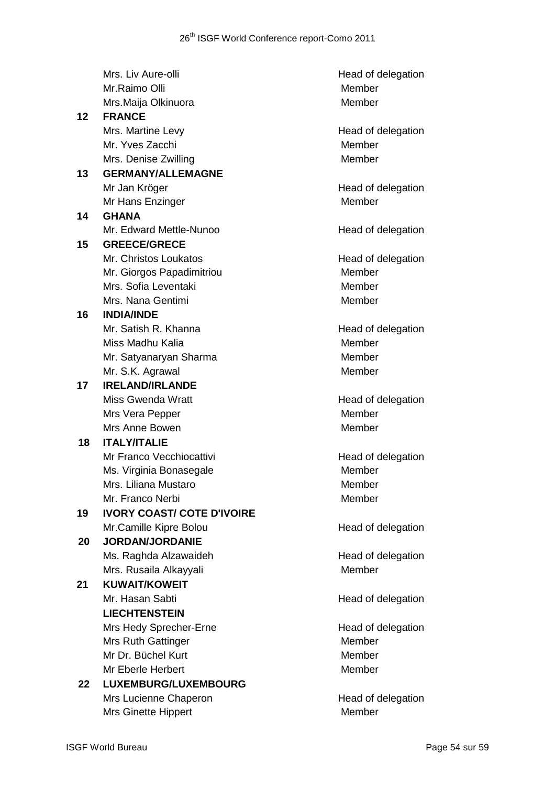Mrs. Liv Aure-olli **Mrs.** Liv Aure-olli **Head of delegation** Mr.Raimo Olli **Michael Member** Member Mrs. Maija Olkinuora **Member** Member **12 FRANCE**  Mrs. Martine Levy **Head of delegation** Mr. Yves Zacchi and a material member Mrs. Denise Zwilling Member **13 GERMANY/ALLEMAGNE**  Mr Jan Kröger **Head of delegation** Mr Hans Enzinger Member **14 GHANA**  Mr. Edward Mettle-Nunoo **Head of delegation 15 GREECE/GRECE**  Mr. Christos Loukatos **Head of delegation** Mr. Giorgos Papadimitriou **Manual Member** Mrs. Sofia Leventaki Member Mrs. Nana Gentimi Member **16 INDIA/INDE**  Mr. Satish R. Khanna Head of delegation Miss Madhu Kalia Member Mr. Satyanaryan Sharma Member Mr. S.K. Agrawal Member **17 IRELAND/IRLANDE**  Miss Gwenda Wratt **Head of delegation** Mrs Vera Pepper and The Member Mrs Anne Bowen **Member** Member  **18 ITALY/ITALIE**  Mr Franco Vecchiocattivi Mr Franco Vecchiocattivi Mr Franco Vecchiocattivi Ms. Virginia Bonasegale Member Mrs. Liliana Mustaro **Mustaro Member** Member Mr. Franco Nerbi Member **19 IVORY COAST/ COTE D'IVOIRE Mr.Camille Kipre Bolou Head of delegation 20 JORDAN/JORDANIE**  Ms. Raghda Alzawaideh Head of delegation Mrs. Rusaila Alkayyali Member **21 KUWAIT/KOWEIT Mr. Hasan Sabti Mr. Head of delegation LIECHTENSTEIN**  Mrs Hedy Sprecher-Erne Head of delegation Mrs Ruth Gattinger Member Mr Dr. Büchel Kurt Member Mr Eberle Herbert **Member** Member  **22 LUXEMBURG/LUXEMBOURG**  Mrs Lucienne Chaperon **Head of delegation** Mrs Ginette Hippert **Member** Member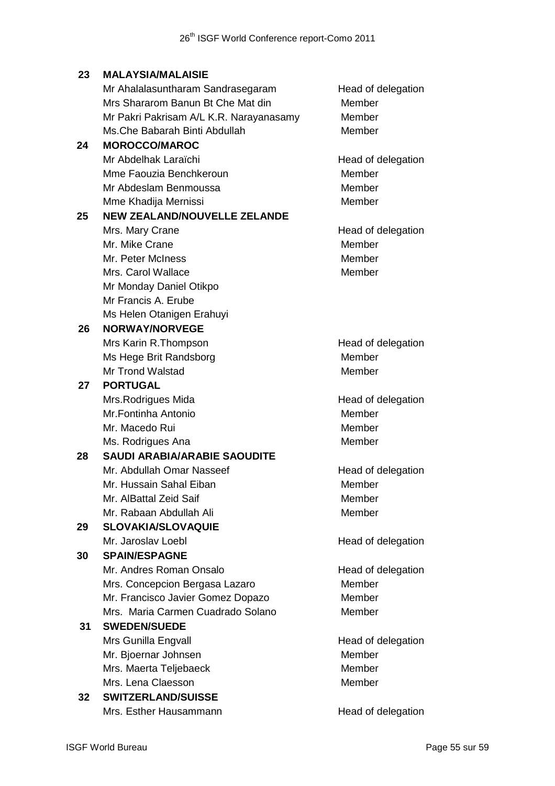| 23 | <b>MALAYSIA/MALAISIE</b>                |                    |
|----|-----------------------------------------|--------------------|
|    | Mr Ahalalasuntharam Sandrasegaram       | Head of delegation |
|    | Mrs Shararom Banun Bt Che Mat din       | Member             |
|    | Mr Pakri Pakrisam A/L K.R. Narayanasamy | Member             |
|    | Ms. Che Babarah Binti Abdullah          | Member             |
| 24 | <b>MOROCCO/MAROC</b>                    |                    |
|    | Mr Abdelhak Laraïchi                    | Head of delegation |
|    | Mme Faouzia Benchkeroun                 | Member             |
|    | Mr Abdeslam Benmoussa                   | Member             |
|    | Mme Khadija Mernissi                    | Member             |
| 25 | <b>NEW ZEALAND/NOUVELLE ZELANDE</b>     |                    |
|    | Mrs. Mary Crane                         | Head of delegation |
|    | Mr. Mike Crane                          | Member             |
|    | Mr. Peter McIness                       | Member             |
|    | Mrs. Carol Wallace                      | Member             |
|    | Mr Monday Daniel Otikpo                 |                    |
|    | Mr Francis A. Erube                     |                    |
|    | Ms Helen Otanigen Erahuyi               |                    |
| 26 | <b>NORWAY/NORVEGE</b>                   |                    |
|    | Mrs Karin R.Thompson                    | Head of delegation |
|    | Ms Hege Brit Randsborg                  | Member             |
|    | <b>Mr Trond Walstad</b>                 | Member             |
| 27 | <b>PORTUGAL</b>                         |                    |
|    | Mrs.Rodrigues Mida                      | Head of delegation |
|    | Mr. Fontinha Antonio                    | Member             |
|    | Mr. Macedo Rui                          | Member             |
|    | Ms. Rodrigues Ana                       | Member             |
| 28 | <b>SAUDI ARABIA/ARABIE SAOUDITE</b>     |                    |
|    | Mr. Abdullah Omar Nasseef               | Head of delegation |
|    | Mr. Hussain Sahal Fiban.                | Member             |
|    | Mr. AlBattal Zeid Saif                  | Member             |
|    | Mr. Rabaan Abdullah Ali                 | Member             |
| 29 | <b>SLOVAKIA/SLOVAQUIE</b>               |                    |
|    | Mr. Jaroslav Loebl                      | Head of delegation |
| 30 | <b>SPAIN/ESPAGNE</b>                    |                    |
|    | Mr. Andres Roman Onsalo                 | Head of delegation |
|    | Mrs. Concepcion Bergasa Lazaro          | Member             |
|    | Mr. Francisco Javier Gomez Dopazo       | Member             |
|    | Mrs. Maria Carmen Cuadrado Solano       | Member             |
| 31 | <b>SWEDEN/SUEDE</b>                     |                    |
|    | Mrs Gunilla Engvall                     | Head of delegation |
|    | Mr. Bjoernar Johnsen                    | Member             |
|    | Mrs. Maerta Teljebaeck                  | Member             |
|    | Mrs. Lena Claesson                      | Member             |
| 32 | <b>SWITZERLAND/SUISSE</b>               |                    |
|    | Mrs. Esther Hausammann                  | Head of delegation |
|    |                                         |                    |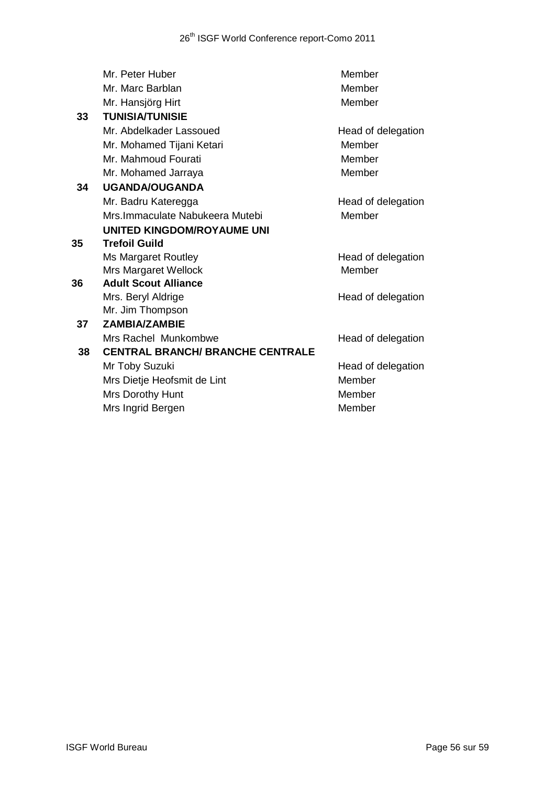|    | Mr. Peter Huber                         | Member             |
|----|-----------------------------------------|--------------------|
|    | Mr. Marc Barblan                        | Member             |
|    | Mr. Hansjörg Hirt                       | Member             |
| 33 | <b>TUNISIA/TUNISIE</b>                  |                    |
|    | Mr. Abdelkader Lassoued                 | Head of delegation |
|    | Mr. Mohamed Tijani Ketari               | Member             |
|    | Mr. Mahmoud Fourati                     | Member             |
|    | Mr. Mohamed Jarraya                     | Member             |
| 34 | <b>UGANDA/OUGANDA</b>                   |                    |
|    | Mr. Badru Kateregga                     | Head of delegation |
|    | Mrs. Immaculate Nabukeera Mutebi        | Member             |
|    | <b>UNITED KINGDOM/ROYAUME UNI</b>       |                    |
| 35 | <b>Trefoil Guild</b>                    |                    |
|    | <b>Ms Margaret Routley</b>              | Head of delegation |
|    | Mrs Margaret Wellock                    | Member             |
| 36 | <b>Adult Scout Alliance</b>             |                    |
|    | Mrs. Beryl Aldrige                      | Head of delegation |
|    | Mr. Jim Thompson                        |                    |
| 37 | <b>ZAMBIA/ZAMBIE</b>                    |                    |
|    | Mrs Rachel Munkombwe                    | Head of delegation |
| 38 | <b>CENTRAL BRANCH/ BRANCHE CENTRALE</b> |                    |
|    | Mr Toby Suzuki                          | Head of delegation |
|    | Mrs Dietje Heofsmit de Lint             | Member             |
|    | Mrs Dorothy Hunt                        | Member             |
|    | Mrs Ingrid Bergen                       | Member             |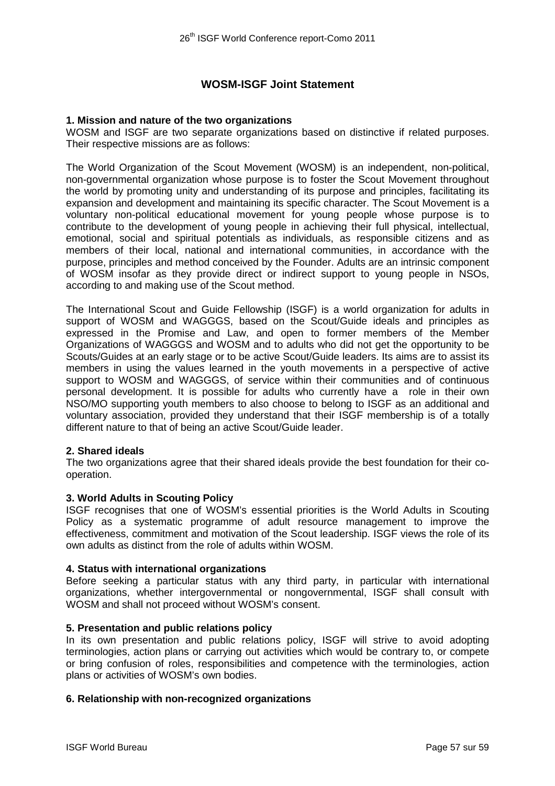# **WOSM-ISGF Joint Statement**

# **1. Mission and nature of the two organizations**

WOSM and ISGF are two separate organizations based on distinctive if related purposes. Their respective missions are as follows:

The World Organization of the Scout Movement (WOSM) is an independent, non-political, non-governmental organization whose purpose is to foster the Scout Movement throughout the world by promoting unity and understanding of its purpose and principles, facilitating its expansion and development and maintaining its specific character. The Scout Movement is a voluntary non-political educational movement for young people whose purpose is to contribute to the development of young people in achieving their full physical, intellectual, emotional, social and spiritual potentials as individuals, as responsible citizens and as members of their local, national and international communities, in accordance with the purpose, principles and method conceived by the Founder. Adults are an intrinsic component of WOSM insofar as they provide direct or indirect support to young people in NSOs, according to and making use of the Scout method.

The International Scout and Guide Fellowship (ISGF) is a world organization for adults in support of WOSM and WAGGGS, based on the Scout/Guide ideals and principles as expressed in the Promise and Law, and open to former members of the Member Organizations of WAGGGS and WOSM and to adults who did not get the opportunity to be Scouts/Guides at an early stage or to be active Scout/Guide leaders. Its aims are to assist its members in using the values learned in the youth movements in a perspective of active support to WOSM and WAGGGS, of service within their communities and of continuous personal development. It is possible for adults who currently have a role in their own NSO/MO supporting youth members to also choose to belong to ISGF as an additional and voluntary association, provided they understand that their ISGF membership is of a totally different nature to that of being an active Scout/Guide leader.

#### **2. Shared ideals**

The two organizations agree that their shared ideals provide the best foundation for their cooperation.

#### **3. World Adults in Scouting Policy**

ISGF recognises that one of WOSM's essential priorities is the World Adults in Scouting Policy as a systematic programme of adult resource management to improve the effectiveness, commitment and motivation of the Scout leadership. ISGF views the role of its own adults as distinct from the role of adults within WOSM.

#### **4. Status with international organizations**

Before seeking a particular status with any third party, in particular with international organizations, whether intergovernmental or nongovernmental, ISGF shall consult with WOSM and shall not proceed without WOSM's consent.

#### **5. Presentation and public relations policy**

In its own presentation and public relations policy, ISGF will strive to avoid adopting terminologies, action plans or carrying out activities which would be contrary to, or compete or bring confusion of roles, responsibilities and competence with the terminologies, action plans or activities of WOSM's own bodies.

# **6. Relationship with non-recognized organizations**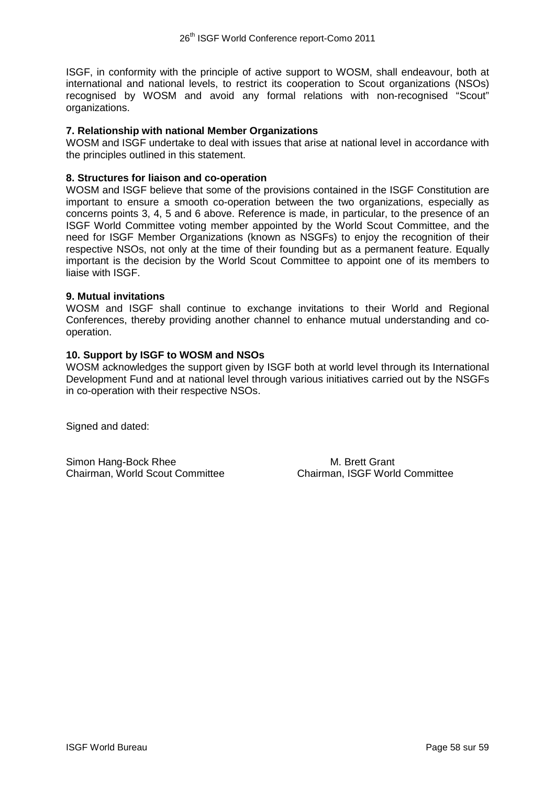ISGF, in conformity with the principle of active support to WOSM, shall endeavour, both at international and national levels, to restrict its cooperation to Scout organizations (NSOs) recognised by WOSM and avoid any formal relations with non-recognised "Scout" organizations.

# **7. Relationship with national Member Organizations**

WOSM and ISGF undertake to deal with issues that arise at national level in accordance with the principles outlined in this statement.

# **8. Structures for liaison and co-operation**

WOSM and ISGF believe that some of the provisions contained in the ISGF Constitution are important to ensure a smooth co-operation between the two organizations, especially as concerns points 3, 4, 5 and 6 above. Reference is made, in particular, to the presence of an ISGF World Committee voting member appointed by the World Scout Committee, and the need for ISGF Member Organizations (known as NSGFs) to enjoy the recognition of their respective NSOs, not only at the time of their founding but as a permanent feature. Equally important is the decision by the World Scout Committee to appoint one of its members to liaise with ISGF.

#### **9. Mutual invitations**

WOSM and ISGF shall continue to exchange invitations to their World and Regional Conferences, thereby providing another channel to enhance mutual understanding and cooperation.

# **10. Support by ISGF to WOSM and NSOs**

WOSM acknowledges the support given by ISGF both at world level through its International Development Fund and at national level through various initiatives carried out by the NSGFs in co-operation with their respective NSOs.

Signed and dated:

Simon Hang-Bock Rhee M. Brett Grant Chairman, World Scout Committee Chairman, ISGF World Committee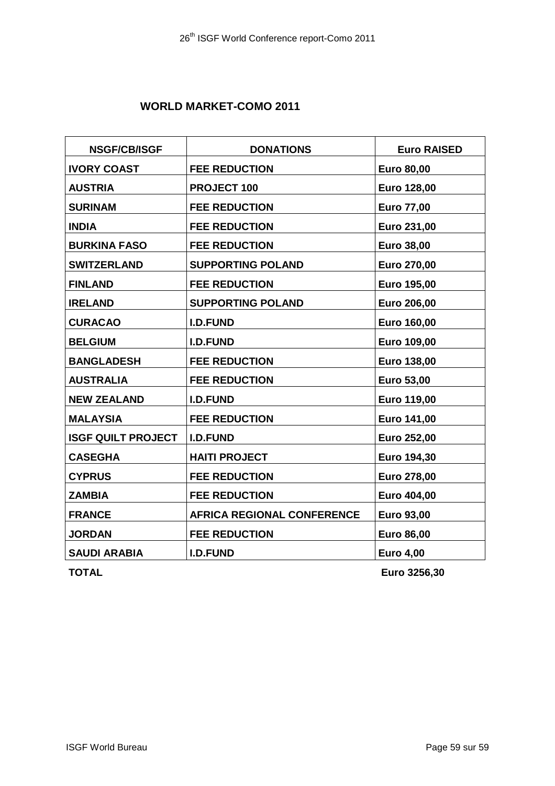# **WORLD MARKET-COMO 2011**

| <b>NSGF/CB/ISGF</b>       | <b>DONATIONS</b>                  | <b>Euro RAISED</b> |
|---------------------------|-----------------------------------|--------------------|
| <b>IVORY COAST</b>        | <b>FEE REDUCTION</b>              | <b>Euro 80,00</b>  |
| <b>AUSTRIA</b>            | PROJECT 100                       | Euro 128,00        |
| <b>SURINAM</b>            | <b>FEE REDUCTION</b>              | Euro 77,00         |
| <b>INDIA</b>              | <b>FEE REDUCTION</b>              | Euro 231,00        |
| <b>BURKINA FASO</b>       | <b>FEE REDUCTION</b>              | <b>Euro 38,00</b>  |
| <b>SWITZERLAND</b>        | <b>SUPPORTING POLAND</b>          | Euro 270,00        |
| <b>FINLAND</b>            | <b>FEE REDUCTION</b>              | Euro 195,00        |
| <b>IRELAND</b>            | <b>SUPPORTING POLAND</b>          | Euro 206,00        |
| <b>CURACAO</b>            | <b>I.D.FUND</b>                   | Euro 160,00        |
| <b>BELGIUM</b>            | <b>I.D.FUND</b>                   | Euro 109,00        |
| <b>BANGLADESH</b>         | <b>FEE REDUCTION</b>              | Euro 138,00        |
| <b>AUSTRALIA</b>          | <b>FEE REDUCTION</b>              | Euro 53,00         |
| <b>NEW ZEALAND</b>        | <b>I.D.FUND</b>                   | Euro 119,00        |
| <b>MALAYSIA</b>           | <b>FEE REDUCTION</b>              | Euro 141,00        |
| <b>ISGF QUILT PROJECT</b> | <b>I.D.FUND</b>                   | Euro 252,00        |
| <b>CASEGHA</b>            | <b>HAITI PROJECT</b>              | Euro 194,30        |
| <b>CYPRUS</b>             | <b>FEE REDUCTION</b>              | Euro 278,00        |
| <b>ZAMBIA</b>             | <b>FEE REDUCTION</b>              | Euro 404,00        |
| <b>FRANCE</b>             | <b>AFRICA REGIONAL CONFERENCE</b> | <b>Euro 93,00</b>  |
| <b>JORDAN</b>             | <b>FEE REDUCTION</b>              | <b>Euro 86,00</b>  |
| <b>SAUDI ARABIA</b>       | <b>I.D.FUND</b>                   | <b>Euro 4,00</b>   |

**TOTAL Euro 3256,30**